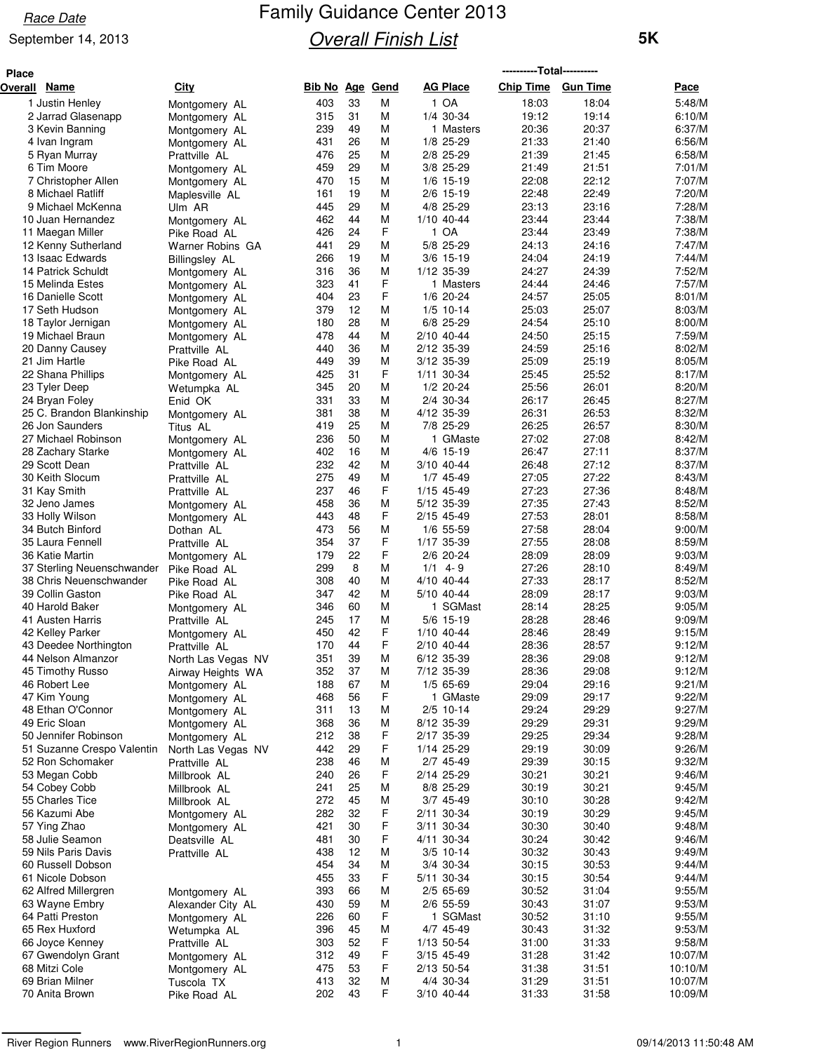#### September 14, 2013

| Place |                                                       |                                     |                   |          |        |                           | ----------Total---------- |                 |                  |
|-------|-------------------------------------------------------|-------------------------------------|-------------------|----------|--------|---------------------------|---------------------------|-----------------|------------------|
|       | Overall Name                                          | <b>City</b>                         | <b>Bib No Age</b> |          | Gend   | <b>AG Place</b>           | <b>Chip Time</b>          | <b>Gun Time</b> | Pace             |
|       | 1 Justin Henley                                       | Montgomery AL                       | 403               | 33       | M      | 1 OA                      | 18:03                     | 18:04           | 5:48/M           |
|       | 2 Jarrad Glasenapp                                    | Montgomery AL                       | 315               | 31       | м      | 1/4 30-34                 | 19:12                     | 19:14           | 6:10/M           |
|       | 3 Kevin Banning                                       | Montgomery AL                       | 239               | 49       | M      | 1 Masters                 | 20:36                     | 20:37           | 6:37/M           |
|       | 4 Ivan Ingram                                         | Montgomery AL                       | 431               | 26       | M      | 1/8 25-29                 | 21:33                     | 21:40           | 6:56/M           |
|       | 5 Ryan Murray                                         | Prattville AL                       | 476               | 25       | M      | 2/8 25-29                 | 21:39                     | 21:45           | 6:58/M           |
|       | 6 Tim Moore                                           | Montgomery AL                       | 459               | 29       | M      | 3/8 25-29                 | 21:49                     | 21:51           | 7:01/M           |
|       | 7 Christopher Allen                                   | Montgomery AL                       | 470               | 15       | M      | $1/6$ 15-19               | 22:08                     | 22:12           | 7:07/M           |
|       | 8 Michael Ratliff<br>9 Michael McKenna                | Maplesville AL                      | 161<br>445        | 19<br>29 | M<br>M | $2/6$ 15-19<br>4/8 25-29  | 22:48<br>23:13            | 22:49<br>23:16  | 7:20/M<br>7:28/M |
|       | 10 Juan Hernandez                                     | Ulm AR                              | 462               | 44       | M      | 1/10 40-44                | 23:44                     | 23:44           | 7:38/M           |
|       | 11 Maegan Miller                                      | Montgomery AL<br>Pike Road AL       | 426               | 24       | F      | 1 OA                      | 23:44                     | 23:49           | 7:38/M           |
|       | 12 Kenny Sutherland                                   | Warner Robins GA                    | 441               | 29       | M      | 5/8 25-29                 | 24:13                     | 24:16           | 7:47/M           |
|       | 13 Isaac Edwards                                      | Billingsley AL                      | 266               | 19       | M      | $3/6$ 15-19               | 24:04                     | 24:19           | 7:44/M           |
|       | 14 Patrick Schuldt                                    | Montgomery AL                       | 316               | 36       | M      | 1/12 35-39                | 24:27                     | 24:39           | 7:52/M           |
|       | 15 Melinda Estes                                      | Montgomery AL                       | 323               | 41       | F      | 1 Masters                 | 24:44                     | 24:46           | 7:57/M           |
|       | 16 Danielle Scott                                     | Montgomery AL                       | 404               | 23       | F      | 1/6 20-24                 | 24:57                     | 25:05           | 8:01/M           |
|       | 17 Seth Hudson                                        | Montgomery AL                       | 379               | 12       | M      | $1/5$ 10-14               | 25:03                     | 25:07           | 8:03/M           |
|       | 18 Taylor Jernigan                                    | Montgomery AL                       | 180               | 28       | М      | 6/8 25-29                 | 24:54                     | 25:10           | 8:00/M           |
|       | 19 Michael Braun                                      | Montgomery AL                       | 478               | 44       | M      | 2/10 40-44                | 24:50                     | 25:15           | 7:59/M           |
|       | 20 Danny Causey                                       | Prattville AL                       | 440               | 36       | M      | 2/12 35-39                | 24:59                     | 25:16           | 8:02/M           |
|       | 21 Jim Hartle                                         | Pike Road AL                        | 449               | 39       | М<br>F | 3/12 35-39                | 25:09                     | 25:19<br>25:52  | 8:05/M           |
|       | 22 Shana Phillips<br>23 Tyler Deep                    | Montgomery AL                       | 425<br>345        | 31<br>20 | M      | 1/11 30-34<br>$1/2$ 20-24 | 25:45<br>25:56            | 26:01           | 8:17/M<br>8:20/M |
|       | 24 Bryan Foley                                        | Wetumpka AL<br>Enid OK              | 331               | 33       | M      | 2/4 30-34                 | 26:17                     | 26:45           | 8:27/M           |
|       | 25 C. Brandon Blankinship                             | Montgomery AL                       | 381               | 38       | М      | 4/12 35-39                | 26:31                     | 26:53           | 8:32/M           |
|       | 26 Jon Saunders                                       | Titus AL                            | 419               | 25       | M      | 7/8 25-29                 | 26:25                     | 26:57           | 8:30/M           |
|       | 27 Michael Robinson                                   | Montgomery AL                       | 236               | 50       | M      | 1 GMaste                  | 27:02                     | 27:08           | 8:42/M           |
|       | 28 Zachary Starke                                     | Montgomery AL                       | 402               | 16       | M      | 4/6 15-19                 | 26:47                     | 27:11           | 8:37/M           |
|       | 29 Scott Dean                                         | Prattville AL                       | 232               | 42       | М      | 3/10 40-44                | 26:48                     | 27:12           | 8:37/M           |
|       | 30 Keith Slocum                                       | Prattville AL                       | 275               | 49       | M      | 1/7 45-49                 | 27:05                     | 27:22           | 8:43/M           |
|       | 31 Kay Smith                                          | Prattville AL                       | 237               | 46       | F      | 1/15 45-49                | 27:23                     | 27:36           | 8:48/M           |
|       | 32 Jeno James                                         | Montgomery AL                       | 458               | 36       | M      | 5/12 35-39                | 27:35                     | 27:43           | 8:52/M           |
|       | 33 Holly Wilson                                       | Montgomery AL                       | 443               | 48       | F      | 2/15 45-49                | 27:53                     | 28:01           | 8:58/M           |
|       | 34 Butch Binford                                      | Dothan AL                           | 473               | 56       | M      | 1/6 55-59                 | 27:58                     | 28:04           | 9:00/M           |
|       | 35 Laura Fennell                                      | Prattville AL                       | 354               | 37       | F      | 1/17 35-39                | 27:55                     | 28:08           | 8:59/M           |
|       | 36 Katie Martin                                       | Montgomery AL                       | 179<br>299        | 22<br>8  | F<br>М | 2/6 20-24<br>$1/1$ 4-9    | 28:09<br>27:26            | 28:09<br>28:10  | 9:03/M<br>8:49/M |
|       | 37 Sterling Neuenschwander<br>38 Chris Neuenschwander | Pike Road AL<br>Pike Road AL        | 308               | 40       | M      | 4/10 40-44                | 27:33                     | 28:17           | 8:52/M           |
|       | 39 Collin Gaston                                      | Pike Road AL                        | 347               | 42       | M      | 5/10 40-44                | 28:09                     | 28:17           | 9:03/M           |
|       | 40 Harold Baker                                       | Montgomery AL                       | 346               | 60       | M      | 1 SGMast                  | 28:14                     | 28:25           | 9:05/M           |
|       | 41 Austen Harris                                      | Prattville AL                       | 245               | 17       | M      | 5/6 15-19                 | 28:28                     | 28:46           | 9:09/M           |
|       | 42 Kelley Parker                                      | Montgomery AL                       | 450               | 42       | F      | 1/10 40-44                | 28:46                     | 28:49           | 9:15/M           |
|       | 43 Deedee Northington                                 | Prattville AL                       | 170               | 44       | F      | 2/10 40-44                | 28:36                     | 28:57           | 9:12/M           |
|       | 44 Nelson Almanzor                                    | North Las Vegas NV                  | 351               | 39       | M      | 6/12 35-39                | 28:36                     | 29:08           | 9:12/M           |
|       | 45 Timothy Russo                                      | Airway Heights WA                   | 352               | 37       | M      | 7/12 35-39                | 28:36                     | 29:08           | 9:12/M           |
|       | 46 Robert Lee                                         | Montgomery AL                       | 188               | 67       | M      | 1/5 65-69                 | 29:04                     | 29:16           | 9:21/M           |
|       | 47 Kim Young                                          | Montgomery AL                       | 468               | 56       | F      | 1 GMaste                  | 29:09                     | 29:17           | 9:22/M           |
|       | 48 Ethan O'Connor                                     | Montgomery AL                       | 311               | 13       | M      | $2/5$ 10-14               | 29:24                     | 29:29           | 9:27/M           |
|       | 49 Eric Sloan                                         | Montgomery AL                       | 368               | 36       | M      | 8/12 35-39                | 29:29                     | 29:31           | 9:29/M           |
|       | 50 Jennifer Robinson<br>51 Suzanne Crespo Valentin    | Montgomery AL                       | 212<br>442        | 38<br>29 | F<br>F | 2/17 35-39<br>1/14 25-29  | 29:25<br>29:19            | 29:34<br>30:09  | 9:28/M<br>9:26/M |
|       | 52 Ron Schomaker                                      | North Las Vegas NV<br>Prattville AL | 238               | 46       | M      | 2/7 45-49                 | 29:39                     | 30:15           | 9:32/M           |
|       | 53 Megan Cobb                                         | Millbrook AL                        | 240               | 26       | F      | 2/14 25-29                | 30:21                     | 30:21           | 9:46/M           |
|       | 54 Cobey Cobb                                         | Millbrook AL                        | 241               | 25       | M      | 8/8 25-29                 | 30:19                     | 30:21           | 9:45/M           |
|       | 55 Charles Tice                                       | Millbrook AL                        | 272               | 45       | M      | 3/7 45-49                 | 30:10                     | 30:28           | 9:42/M           |
|       | 56 Kazumi Abe                                         | Montgomery AL                       | 282               | 32       | F      | 2/11 30-34                | 30:19                     | 30:29           | 9:45/M           |
|       | 57 Ying Zhao                                          | Montgomery AL                       | 421               | 30       | F      | 3/11 30-34                | 30:30                     | 30:40           | 9:48/M           |
|       | 58 Julie Seamon                                       | Deatsville AL                       | 481               | 30       | F      | 4/11 30-34                | 30:24                     | 30:42           | 9:46/M           |
|       | 59 Nils Paris Davis                                   | Prattville AL                       | 438               | 12       | M      | $3/5$ 10-14               | 30:32                     | 30:43           | 9:49/M           |
|       | 60 Russell Dobson                                     |                                     | 454               | 34       | M      | 3/4 30-34                 | 30:15                     | 30:53           | 9:44/M           |
|       | 61 Nicole Dobson                                      |                                     | 455               | 33       | F      | 5/11 30-34                | 30:15                     | 30:54           | 9:44/M           |
|       | 62 Alfred Millergren                                  | Montgomery AL                       | 393               | 66       | м      | 2/5 65-69                 | 30:52                     | 31:04           | 9:55/M           |
|       | 63 Wayne Embry                                        | Alexander City AL                   | 430               | 59       | M      | 2/6 55-59                 | 30:43                     | 31:07           | 9:53/M           |
|       | 64 Patti Preston<br>65 Rex Huxford                    | Montgomery AL                       | 226<br>396        | 60<br>45 | F<br>M | 1 SGMast<br>4/7 45-49     | 30:52<br>30:43            | 31:10<br>31:32  | 9:55/M<br>9:53/M |
|       | 66 Joyce Kenney                                       | Wetumpka AL<br>Prattville AL        | 303               | 52       | F      | 1/13 50-54                | 31:00                     | 31:33           | 9:58/M           |
|       | 67 Gwendolyn Grant                                    | Montgomery AL                       | 312               | 49       | F      | $3/15$ 45-49              | 31:28                     | 31:42           | 10:07/M          |
|       | 68 Mitzi Cole                                         | Montgomery AL                       | 475               | 53       | F      | 2/13 50-54                | 31:38                     | 31:51           | 10:10/M          |
|       | 69 Brian Milner                                       | Tuscola TX                          | 413               | 32       | M      | 4/4 30-34                 | 31:29                     | 31:51           | 10:07/M          |
|       | 70 Anita Brown                                        | Pike Road AL                        | 202               | 43       | F      | 3/10 40-44                | 31:33                     | 31:58           | 10:09/M          |
|       |                                                       |                                     |                   |          |        |                           |                           |                 |                  |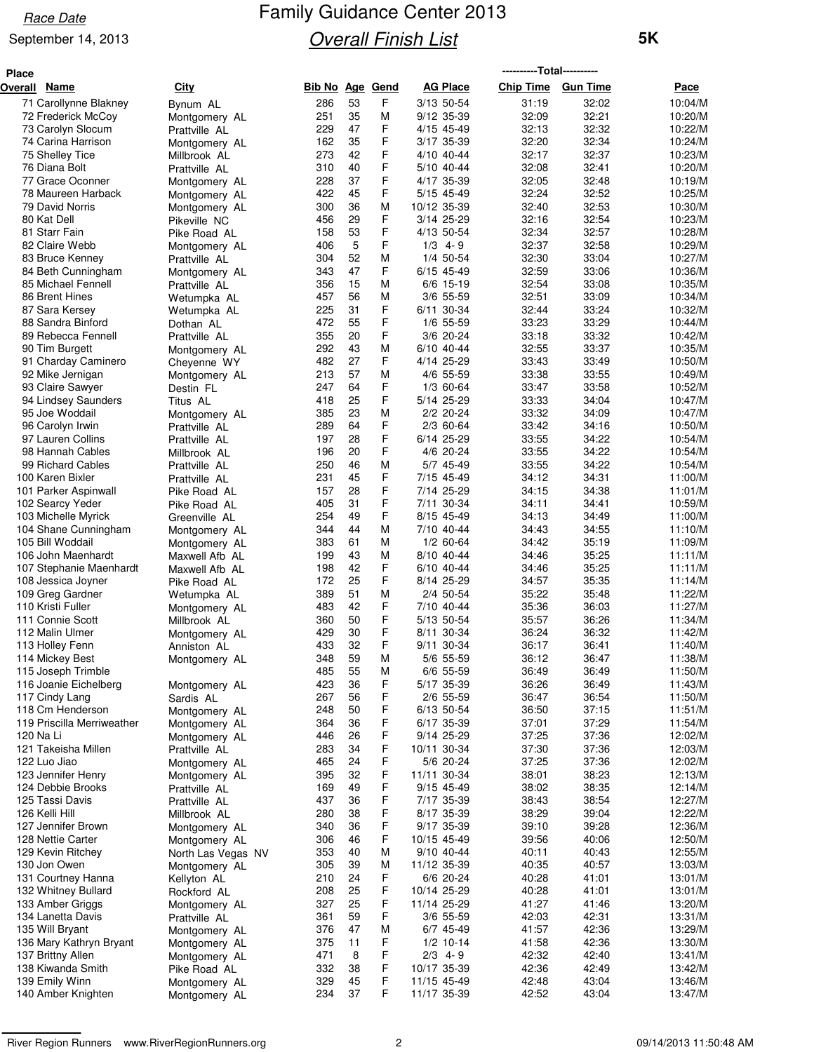#### September 14, 2013

| <b>Place</b> |                                                |                                 |                 |          |        |                          | -----------Total----------- |                 |                    |
|--------------|------------------------------------------------|---------------------------------|-----------------|----------|--------|--------------------------|-----------------------------|-----------------|--------------------|
|              | Overall Name                                   | <b>City</b>                     | Bib No Age Gend |          |        | <b>AG Place</b>          | <b>Chip Time</b>            | <b>Gun Time</b> | Pace               |
|              | 71 Carollynne Blakney                          | Bynum AL                        | 286             | 53       | F.     | 3/13 50-54               | 31:19                       | 32:02           | 10:04/M            |
|              | 72 Frederick McCoy                             | Montgomery AL                   | 251             | 35       | М      | 9/12 35-39               | 32:09                       | 32:21           | 10:20/M            |
|              | 73 Carolyn Slocum                              | Prattville AL                   | 229             | 47       | F      | 4/15 45-49               | 32:13                       | 32:32           | 10:22/M            |
|              | 74 Carina Harrison                             | Montgomery AL                   | 162             | 35       | F      | 3/17 35-39               | 32:20                       | 32:34           | 10:24/M            |
|              | 75 Shelley Tice                                | Millbrook AL                    | 273             | 42       | F      | 4/10 40-44               | 32:17                       | 32:37           | 10:23/M            |
|              | 76 Diana Bolt                                  | Prattville AL                   | 310             | 40       | F      | 5/10 40-44               | 32:08                       | 32:41           | 10:20/M            |
|              | 77 Grace Oconner                               | Montgomery AL                   | 228             | 37       | F      | 4/17 35-39               | 32:05                       | 32:48           | 10:19/M            |
|              | 78 Maureen Harback                             | Montgomery AL                   | 422             | 45       | F      | 5/15 45-49               | 32:24                       | 32:52           | 10:25/M            |
|              | 79 David Norris                                | Montgomery AL                   | 300             | 36       | M      | 10/12 35-39              | 32:40                       | 32:53           | 10:30/M            |
|              | 80 Kat Dell                                    | Pikeville NC                    | 456             | 29<br>53 | F<br>F | 3/14 25-29               | 32:16                       | 32:54<br>32:57  | 10:23/M            |
|              | 81 Starr Fain<br>82 Claire Webb                | Pike Road AL                    | 158<br>406      | 5        | F      | 4/13 50-54<br>$1/3$ 4-9  | 32:34<br>32:37              | 32:58           | 10:28/M<br>10:29/M |
|              | 83 Bruce Kenney                                | Montgomery AL                   | 304             | 52       | M      | 1/4 50-54                | 32:30                       | 33:04           | 10:27/M            |
|              | 84 Beth Cunningham                             | Prattville AL<br>Montgomery AL  | 343             | 47       | F      | 6/15 45-49               | 32:59                       | 33:06           | 10:36/M            |
|              | 85 Michael Fennell                             | Prattville AL                   | 356             | 15       | M      | $6/6$ 15-19              | 32:54                       | 33:08           | 10:35/M            |
|              | 86 Brent Hines                                 | Wetumpka AL                     | 457             | 56       | M      | 3/6 55-59                | 32:51                       | 33:09           | 10:34/M            |
|              | 87 Sara Kersey                                 | Wetumpka AL                     | 225             | 31       | F      | 6/11 30-34               | 32:44                       | 33:24           | 10:32/M            |
|              | 88 Sandra Binford                              | Dothan AL                       | 472             | 55       | F      | 1/6 55-59                | 33:23                       | 33:29           | 10:44/M            |
|              | 89 Rebecca Fennell                             | Prattville AL                   | 355             | 20       | F      | 3/6 20-24                | 33:18                       | 33:32           | 10:42/M            |
|              | 90 Tim Burgett                                 | Montgomery AL                   | 292             | 43       | M      | 6/10 40-44               | 32:55                       | 33:37           | 10:35/M            |
|              | 91 Charday Caminero                            | Chevenne WY                     | 482             | 27       | F      | 4/14 25-29               | 33:43                       | 33:49           | 10:50/M            |
|              | 92 Mike Jernigan                               | Montgomery AL                   | 213             | 57       | M      | 4/6 55-59                | 33:38                       | 33:55           | 10:49/M            |
|              | 93 Claire Sawyer                               | Destin FL                       | 247             | 64       | F      | 1/3 60-64                | 33:47                       | 33:58           | 10:52/M            |
|              | 94 Lindsey Saunders                            | Titus AL                        | 418             | 25       | F      | 5/14 25-29               | 33:33                       | 34:04           | 10:47/M            |
|              | 95 Joe Woddail                                 | Montgomery AL                   | 385             | 23       | М      | 2/2 20-24                | 33:32                       | 34:09           | 10:47/M            |
|              | 96 Carolyn Irwin                               | Prattville AL                   | 289             | 64       | F      | 2/3 60-64                | 33:42                       | 34:16           | 10:50/M            |
|              | 97 Lauren Collins                              | Prattville AL                   | 197             | 28       | F      | 6/14 25-29               | 33:55                       | 34:22           | 10:54/M            |
|              | 98 Hannah Cables                               | Millbrook AL                    | 196             | 20       | F      | 4/6 20-24                | 33:55                       | 34:22           | 10:54/M            |
|              | 99 Richard Cables                              | Prattville AL                   | 250             | 46       | М      | 5/7 45-49                | 33:55                       | 34:22           | 10:54/M            |
|              | 100 Karen Bixler                               | Prattville AL                   | 231             | 45       | F      | 7/15 45-49               | 34:12                       | 34:31           | 11:00/M            |
|              | 101 Parker Aspinwall                           | Pike Road AL                    | 157             | 28       | F      | 7/14 25-29               | 34:15                       | 34:38           | 11:01/M            |
|              | 102 Searcy Yeder                               | Pike Road AL                    | 405<br>254      | 31<br>49 | F<br>F | 7/11 30-34<br>8/15 45-49 | 34:11<br>34:13              | 34:41<br>34:49  | 10:59/M<br>11:00/M |
|              | 103 Michelle Myrick<br>104 Shane Cunningham    | Greenville AL                   | 344             | 44       | M      | 7/10 40-44               | 34:43                       | 34:55           | 11:10/M            |
|              | 105 Bill Woddail                               | Montgomery AL                   | 383             | 61       | М      | $1/2$ 60-64              | 34:42                       | 35:19           | 11:09/M            |
|              | 106 John Maenhardt                             | Montgomery AL<br>Maxwell Afb AL | 199             | 43       | M      | 8/10 40-44               | 34:46                       | 35:25           | 11:11/M            |
|              | 107 Stephanie Maenhardt                        | Maxwell Afb AL                  | 198             | 42       | F      | 6/10 40-44               | 34:46                       | 35:25           | 11:11/M            |
|              | 108 Jessica Joyner                             | Pike Road AL                    | 172             | 25       | F      | 8/14 25-29               | 34:57                       | 35:35           | 11:14/M            |
|              | 109 Greg Gardner                               | Wetumpka AL                     | 389             | 51       | М      | 2/4 50-54                | 35:22                       | 35:48           | 11:22/M            |
|              | 110 Kristi Fuller                              | Montgomery AL                   | 483             | 42       | F      | 7/10 40-44               | 35:36                       | 36:03           | 11:27/M            |
|              | 111 Connie Scott                               | Millbrook AL                    | 360             | 50       | F      | 5/13 50-54               | 35:57                       | 36:26           | 11:34/M            |
|              | 112 Malin Ulmer                                | Montgomery AL                   | 429             | 30       | F      | 8/11 30-34               | 36:24                       | 36:32           | 11:42/M            |
|              | 113 Holley Fenn                                | Anniston AL                     | 433             | 32       | F      | 9/11 30-34               | 36:17                       | 36:41           | 11:40/M            |
|              | 114 Mickey Best                                | Montgomery AL                   | 348             | 59       | М      | 5/6 55-59                | 36:12                       | 36:47           | 11:38/M            |
|              | 115 Joseph Trimble                             |                                 | 485             | 55       | M      | 6/6 55-59                | 36:49                       | 36:49           | 11:50/M            |
|              | 116 Joanie Eichelberg                          | Montgomery AL                   | 423             | 36       | F      | 5/17 35-39               | 36:26                       | 36:49           | 11:43/M            |
|              | 117 Cindy Lang                                 | Sardis AL                       | 267             | 56       | F      | 2/6 55-59                | 36:47                       | 36:54           | 11:50/M            |
|              | 118 Cm Henderson<br>119 Priscilla Merriweather | Montgomery AL                   | 248<br>364      | 50<br>36 | F<br>F | 6/13 50-54<br>6/17 35-39 | 36:50<br>37:01              | 37:15<br>37:29  | 11:51/M            |
|              | 120 Na Li                                      | Montgomery AL                   | 446             | 26       | F      | 9/14 25-29               | 37:25                       | 37:36           | 11:54/M<br>12:02/M |
|              | 121 Takeisha Millen                            | Montgomery AL<br>Prattville AL  | 283             | 34       | F      | 10/11 30-34              | 37:30                       | 37:36           | 12:03/M            |
|              | 122 Luo Jiao                                   | Montgomery AL                   | 465             | 24       | F      | 5/6 20-24                | 37:25                       | 37:36           | 12:02/M            |
|              | 123 Jennifer Henry                             | Montgomery AL                   | 395             | 32       | F      | 11/11 30-34              | 38:01                       | 38:23           | 12:13/M            |
|              | 124 Debbie Brooks                              | Prattville AL                   | 169             | 49       | F      | 9/15 45-49               | 38:02                       | 38:35           | 12:14/M            |
|              | 125 Tassi Davis                                | Prattville AL                   | 437             | 36       | F      | 7/17 35-39               | 38:43                       | 38:54           | 12:27/M            |
|              | 126 Kelli Hill                                 | Millbrook AL                    | 280             | 38       | F      | 8/17 35-39               | 38:29                       | 39:04           | 12:22/M            |
|              | 127 Jennifer Brown                             | Montgomery AL                   | 340             | 36       | F      | 9/17 35-39               | 39:10                       | 39:28           | 12:36/M            |
|              | 128 Nettie Carter                              | Montgomery AL                   | 306             | 46       | F      | 10/15 45-49              | 39:56                       | 40:06           | 12:50/M            |
|              | 129 Kevin Ritchey                              | North Las Vegas NV              | 353             | 40       | М      | 9/10 40-44               | 40:11                       | 40:43           | 12:55/M            |
|              | 130 Jon Owen                                   | Montgomery AL                   | 305             | 39       | М      | 11/12 35-39              | 40:35                       | 40:57           | 13:03/M            |
|              | 131 Courtney Hanna                             | Kellyton AL                     | 210             | 24       | F      | 6/6 20-24                | 40:28                       | 41:01           | 13:01/M            |
|              | 132 Whitney Bullard                            | Rockford AL                     | 208             | 25       | F      | 10/14 25-29              | 40:28                       | 41:01           | 13:01/M            |
|              | 133 Amber Griggs                               | Montgomery AL                   | 327             | 25       | F      | 11/14 25-29              | 41:27                       | 41:46           | 13:20/M            |
|              | 134 Lanetta Davis                              | Prattville AL                   | 361             | 59       | F      | $3/6$ 55-59              | 42:03                       | 42:31           | 13:31/M            |
|              | 135 Will Bryant                                | Montgomery AL                   | 376             | 47       | M      | 6/7 45-49                | 41:57                       | 42:36           | 13:29/M            |
|              | 136 Mary Kathryn Bryant<br>137 Brittny Allen   | Montgomery AL                   | 375<br>471      | 11<br>8  | F<br>F | $1/2$ 10-14<br>$2/3$ 4-9 | 41:58<br>42:32              | 42:36<br>42:40  | 13:30/M            |
|              | 138 Kiwanda Smith                              | Montgomery AL<br>Pike Road AL   | 332             | 38       | F      | 10/17 35-39              | 42:36                       | 42:49           | 13:41/M<br>13:42/M |
|              | 139 Emily Winn                                 | Montgomery AL                   | 329             | 45       | F      | 11/15 45-49              | 42:48                       | 43:04           | 13:46/M            |
|              | 140 Amber Knighten                             | Montgomery AL                   | 234             | 37       | F.     | 11/17 35-39              | 42:52                       | 43:04           | 13:47/M            |
|              |                                                |                                 |                 |          |        |                          |                             |                 |                    |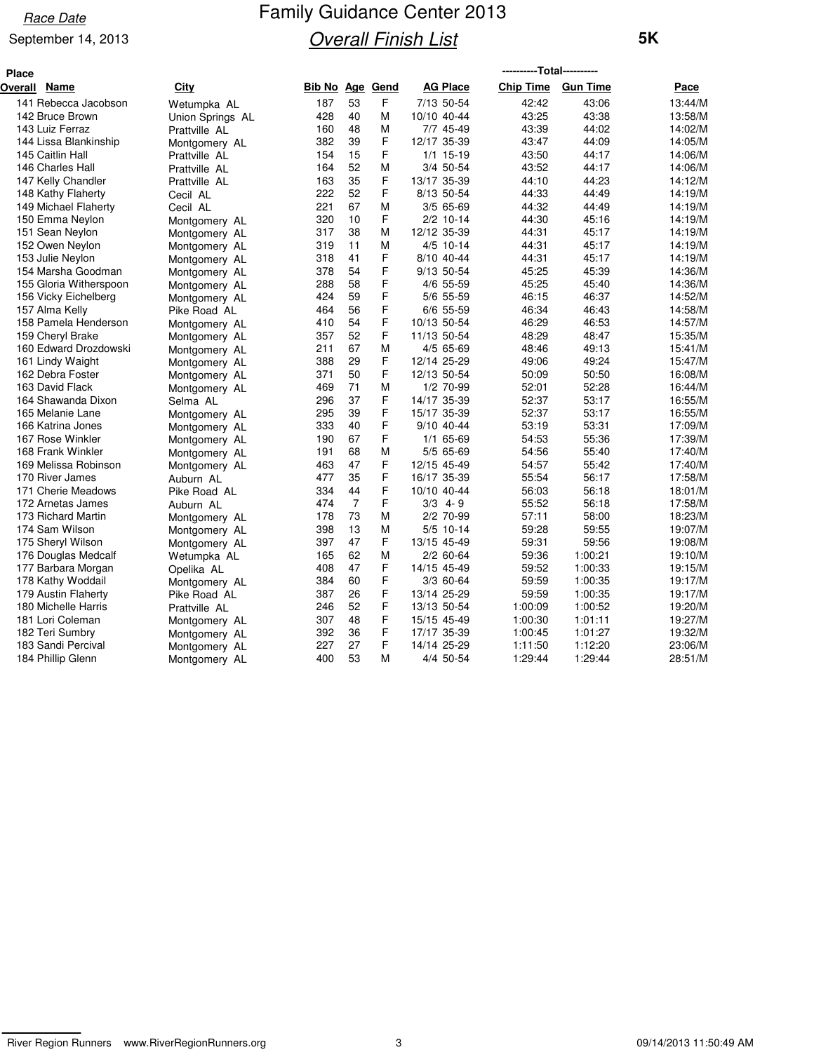#### September 14, 2013

| ----------Total----------<br><b>Place</b> |                  |                 |                |   |                 |                  |                 |         |
|-------------------------------------------|------------------|-----------------|----------------|---|-----------------|------------------|-----------------|---------|
| Overall Name                              | City             | Bib No Age Gend |                |   | <b>AG Place</b> | <b>Chip Time</b> | <b>Gun Time</b> | Pace    |
| 141 Rebecca Jacobson                      | Wetumpka AL      | 187             | 53             | F | 7/13 50-54      | 42:42            | 43:06           | 13:44/M |
| 142 Bruce Brown                           | Union Springs AL | 428             | 40             | M | 10/10 40-44     | 43:25            | 43:38           | 13:58/M |
| 143 Luiz Ferraz                           | Prattville AL    | 160             | 48             | M | 7/7 45-49       | 43:39            | 44:02           | 14:02/M |
| 144 Lissa Blankinship                     | Montgomery AL    | 382             | 39             | F | 12/17 35-39     | 43:47            | 44:09           | 14:05/M |
| 145 Caitlin Hall                          | Prattville AL    | 154             | 15             | F | $1/1$ 15-19     | 43:50            | 44:17           | 14:06/M |
| 146 Charles Hall                          | Prattville AL    | 164             | 52             | M | 3/4 50-54       | 43:52            | 44:17           | 14:06/M |
| 147 Kelly Chandler                        | Prattville AL    | 163             | 35             | F | 13/17 35-39     | 44:10            | 44:23           | 14:12/M |
| 148 Kathy Flaherty                        | Cecil AL         | 222             | 52             | F | 8/13 50-54      | 44:33            | 44:49           | 14:19/M |
| 149 Michael Flaherty                      | Cecil AL         | 221             | 67             | М | 3/5 65-69       | 44:32            | 44:49           | 14:19/M |
| 150 Emma Neylon                           | Montgomery AL    | 320             | 10             | F | $2/2$ 10-14     | 44:30            | 45:16           | 14:19/M |
| 151 Sean Neylon                           | Montgomery AL    | 317             | 38             | M | 12/12 35-39     | 44:31            | 45:17           | 14:19/M |
| 152 Owen Neylon                           | Montgomery AL    | 319             | 11             | М | 4/5 10-14       | 44:31            | 45:17           | 14:19/M |
| 153 Julie Neylon                          | Montgomery AL    | 318             | 41             | F | 8/10 40-44      | 44:31            | 45:17           | 14:19/M |
| 154 Marsha Goodman                        | Montgomery AL    | 378             | 54             | F | 9/13 50-54      | 45:25            | 45:39           | 14:36/M |
| 155 Gloria Witherspoon                    | Montgomery AL    | 288             | 58             | F | 4/6 55-59       | 45:25            | 45:40           | 14:36/M |
| 156 Vicky Eichelberg                      | Montgomery AL    | 424             | 59             | F | 5/6 55-59       | 46:15            | 46:37           | 14:52/M |
| 157 Alma Kelly                            | Pike Road AL     | 464             | 56             | F | 6/6 55-59       | 46:34            | 46:43           | 14:58/M |
| 158 Pamela Henderson                      | Montgomery AL    | 410             | 54             | F | 10/13 50-54     | 46:29            | 46:53           | 14:57/M |
| 159 Cheryl Brake                          | Montgomery AL    | 357             | 52             | F | 11/13 50-54     | 48:29            | 48:47           | 15:35/M |
| 160 Edward Drozdowski                     | Montgomery AL    | 211             | 67             | M | 4/5 65-69       | 48:46            | 49:13           | 15:41/M |
| 161 Lindy Waight                          | Montgomery AL    | 388             | 29             | F | 12/14 25-29     | 49:06            | 49:24           | 15:47/M |
| 162 Debra Foster                          | Montgomery AL    | 371             | 50             | F | 12/13 50-54     | 50:09            | 50:50           | 16:08/M |
| 163 David Flack                           | Montgomery AL    | 469             | 71             | M | 1/2 70-99       | 52:01            | 52:28           | 16:44/M |
| 164 Shawanda Dixon                        | Selma AL         | 296             | 37             | F | 14/17 35-39     | 52:37            | 53:17           | 16:55/M |
| 165 Melanie Lane                          | Montgomery AL    | 295             | 39             | F | 15/17 35-39     | 52:37            | 53:17           | 16:55/M |
| 166 Katrina Jones                         | Montgomery AL    | 333             | 40             | F | 9/10 40-44      | 53:19            | 53:31           | 17:09/M |
| 167 Rose Winkler                          | Montgomery AL    | 190             | 67             | F | 1/1 65-69       | 54:53            | 55:36           | 17:39/M |
| 168 Frank Winkler                         | Montgomery AL    | 191             | 68             | M | 5/5 65-69       | 54:56            | 55:40           | 17:40/M |
| 169 Melissa Robinson                      | Montgomery AL    | 463             | 47             | F | 12/15 45-49     | 54:57            | 55:42           | 17:40/M |
| 170 River James                           | Auburn AL        | 477             | 35             | F | 16/17 35-39     | 55:54            | 56:17           | 17:58/M |
| 171 Cherie Meadows                        | Pike Road AL     | 334             | 44             | F | 10/10 40-44     | 56:03            | 56:18           | 18:01/M |
| 172 Arnetas James                         | Auburn AL        | 474             | $\overline{7}$ | F | $3/3$ 4-9       | 55:52            | 56:18           | 17:58/M |
| 173 Richard Martin                        | Montgomery AL    | 178             | 73             | M | 2/2 70-99       | 57:11            | 58:00           | 18:23/M |
| 174 Sam Wilson                            | Montgomery AL    | 398             | 13             | M | 5/5 10-14       | 59:28            | 59:55           | 19:07/M |
| 175 Sheryl Wilson                         | Montgomery AL    | 397             | 47             | F | 13/15 45-49     | 59:31            | 59:56           | 19:08/M |
| 176 Douglas Medcalf                       | Wetumpka AL      | 165             | 62             | M | 2/2 60-64       | 59:36            | 1:00:21         | 19:10/M |
| 177 Barbara Morgan                        | Opelika AL       | 408             | 47             | F | 14/15 45-49     | 59:52            | 1:00:33         | 19:15/M |
| 178 Kathy Woddail                         | Montgomery AL    | 384             | 60             | F | 3/3 60-64       | 59:59            | 1:00:35         | 19:17/M |
| 179 Austin Flaherty                       | Pike Road AL     | 387             | 26             | F | 13/14 25-29     | 59:59            | 1:00:35         | 19:17/M |
| 180 Michelle Harris                       | Prattville AL    | 246             | 52             | F | 13/13 50-54     | 1:00:09          | 1:00:52         | 19:20/M |
| 181 Lori Coleman                          | Montgomery AL    | 307             | 48             | F | 15/15 45-49     | 1:00:30          | 1:01:11         | 19:27/M |
| 182 Teri Sumbry                           | Montgomery AL    | 392             | 36             | F | 17/17 35-39     | 1:00:45          | 1:01:27         | 19:32/M |
| 183 Sandi Percival                        | Montgomery AL    | 227             | 27             | F | 14/14 25-29     | 1:11:50          | 1:12:20         | 23:06/M |
| 184 Phillip Glenn                         | Montgomery AL    | 400             | 53             | M | 4/4 50-54       | 1:29:44          | 1:29:44         | 28:51/M |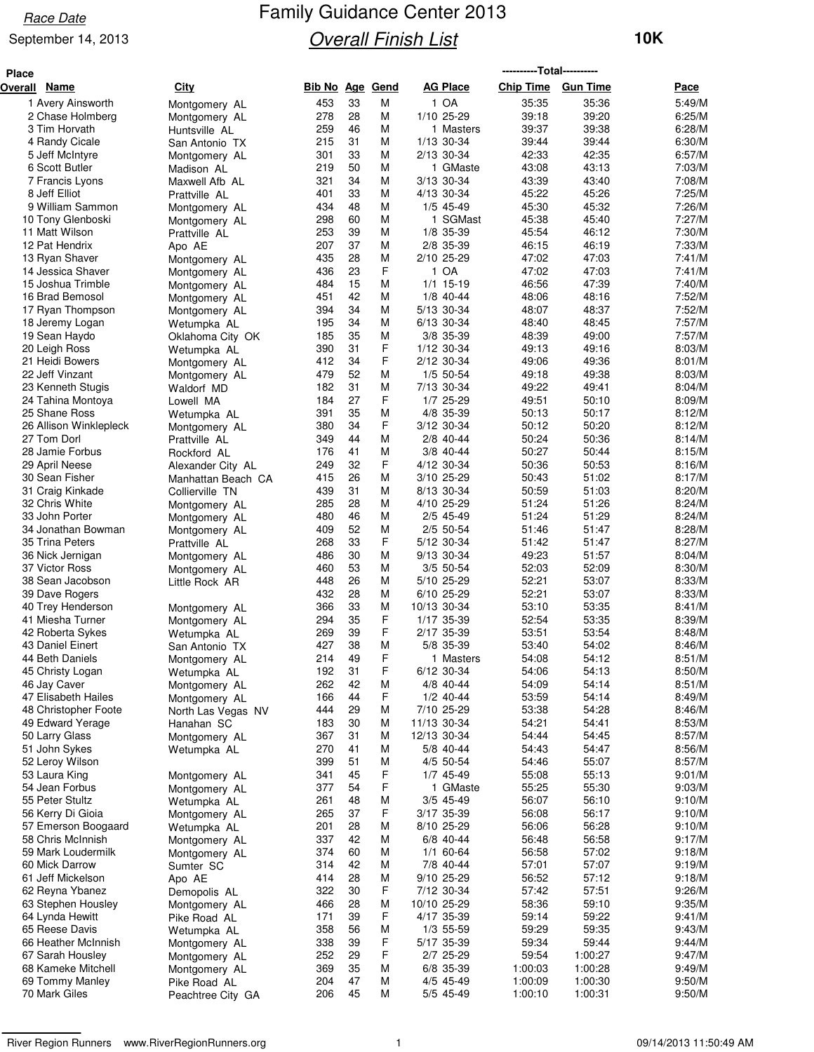#### September 14, 2013

| <b>Place</b> |                                  |                                |                 |          |        |                         |                  |                 |                  |
|--------------|----------------------------------|--------------------------------|-----------------|----------|--------|-------------------------|------------------|-----------------|------------------|
| Overall Name |                                  | City                           | Bib No Age Gend |          |        | <b>AG Place</b>         | <b>Chip Time</b> | <b>Gun Time</b> | Pace             |
|              | 1 Avery Ainsworth                | Montgomery AL                  | 453             | 33       | M      | 1 OA                    | 35:35            | 35:36           | 5:49/M           |
|              | 2 Chase Holmberg                 | Montgomery AL                  | 278             | 28       | М      | 1/10 25-29              | 39:18            | 39:20           | 6:25/M           |
|              | 3 Tim Horvath                    | Huntsville AL                  | 259             | 46       | М      | 1 Masters               | 39:37            | 39:38           | 6:28/M           |
|              | 4 Randy Cicale                   | San Antonio TX                 | 215             | 31       | М      | 1/13 30-34              | 39:44            | 39:44           | 6:30/M           |
|              | 5 Jeff McIntyre                  | Montgomery AL                  | 301             | 33       | M      | 2/13 30-34              | 42:33            | 42:35           | 6:57/M           |
|              | 6 Scott Butler                   | Madison AL                     | 219             | 50       | М      | 1 GMaste                | 43:08            | 43:13           | 7:03/M           |
|              | 7 Francis Lyons                  | Maxwell Afb AL                 | 321             | 34       | M      | 3/13 30-34              | 43:39            | 43:40           | 7:08/M           |
|              | 8 Jeff Elliot                    | Prattville AL                  | 401             | 33       | М      | 4/13 30-34              | 45:22            | 45:26           | 7:25/M           |
|              | 9 William Sammon                 | Montgomery AL                  | 434             | 48       | M      | 1/5 45-49               | 45:30            | 45:32           | 7:26/M           |
|              | 10 Tony Glenboski                | Montgomery AL                  | 298             | 60<br>39 | М      | 1 SGMast                | 45:38            | 45:40           | 7:27/M<br>7:30/M |
|              | 11 Matt Wilson<br>12 Pat Hendrix | Prattville AL                  | 253<br>207      | 37       | M<br>М | 1/8 35-39<br>2/8 35-39  | 45:54<br>46:15   | 46:12<br>46:19  | 7:33/M           |
|              | 13 Ryan Shaver                   | Apo AE                         | 435             | 28       | M      | 2/10 25-29              | 47:02            | 47:03           | 7:41/M           |
|              | 14 Jessica Shaver                | Montgomery AL<br>Montgomery AL | 436             | 23       | F      | 1 OA                    | 47:02            | 47:03           | 7:41/M           |
|              | 15 Joshua Trimble                | Montgomery AL                  | 484             | 15       | M      | $1/1$ 15-19             | 46:56            | 47:39           | 7:40/M           |
|              | 16 Brad Bemosol                  | Montgomery AL                  | 451             | 42       | М      | $1/8$ 40-44             | 48:06            | 48:16           | 7:52/M           |
|              | 17 Ryan Thompson                 | Montgomery AL                  | 394             | 34       | M      | 5/13 30-34              | 48:07            | 48:37           | 7:52/M           |
|              | 18 Jeremy Logan                  | Wetumpka AL                    | 195             | 34       | М      | 6/13 30-34              | 48:40            | 48:45           | 7:57/M           |
|              | 19 Sean Haydo                    | Oklahoma City OK               | 185             | 35       | M      | 3/8 35-39               | 48:39            | 49:00           | 7:57/M           |
|              | 20 Leigh Ross                    | Wetumpka AL                    | 390             | 31       | F      | 1/12 30-34              | 49:13            | 49:16           | 8:03/M           |
|              | 21 Heidi Bowers                  | Montgomery AL                  | 412             | 34       | F      | 2/12 30-34              | 49:06            | 49:36           | 8:01/M           |
|              | 22 Jeff Vinzant                  | Montgomery AL                  | 479             | 52       | М      | 1/5 50-54               | 49:18            | 49:38           | 8:03/M           |
|              | 23 Kenneth Stugis                | Waldorf MD                     | 182             | 31       | М      | 7/13 30-34              | 49:22            | 49:41           | 8:04/M           |
|              | 24 Tahina Montoya                | Lowell MA                      | 184             | 27       | F      | 1/7 25-29               | 49:51            | 50:10           | 8:09/M           |
|              | 25 Shane Ross                    | Wetumpka AL                    | 391             | 35       | М      | 4/8 35-39               | 50:13            | 50:17           | 8:12/M           |
|              | 26 Allison Winklepleck           | Montgomery AL                  | 380             | 34       | F      | 3/12 30-34              | 50:12            | 50:20           | 8:12/M           |
|              | 27 Tom Dorl                      | Prattville AL                  | 349             | 44       | М      | 2/8 40-44               | 50:24            | 50:36           | 8:14/M           |
|              | 28 Jamie Forbus                  | Rockford AL                    | 176             | 41       | M      | 3/8 40-44               | 50:27            | 50:44           | 8:15/M           |
|              | 29 April Neese                   | Alexander City AL              | 249             | 32       | F      | 4/12 30-34              | 50:36            | 50:53           | 8:16/M           |
|              | 30 Sean Fisher                   | Manhattan Beach CA             | 415             | 26       | M      | 3/10 25-29              | 50:43            | 51:02           | 8:17/M           |
|              | 31 Craig Kinkade                 | Collierville TN                | 439             | 31       | M      | 8/13 30-34              | 50:59            | 51:03           | 8:20/M           |
|              | 32 Chris White<br>33 John Porter | Montgomery AL                  | 285<br>480      | 28<br>46 | М<br>М | 4/10 25-29<br>2/5 45-49 | 51:24<br>51:24   | 51:26<br>51:29  | 8:24/M<br>8:24/M |
|              | 34 Jonathan Bowman               | Montgomery AL                  | 409             | 52       | M      | 2/5 50-54               | 51:46            | 51:47           | 8:28/M           |
|              | 35 Trina Peters                  | Montgomery AL                  | 268             | 33       | F      | 5/12 30-34              | 51:42            | 51:47           | 8:27/M           |
|              | 36 Nick Jernigan                 | Prattville AL<br>Montgomery AL | 486             | 30       | м      | 9/13 30-34              | 49:23            | 51:57           | 8:04/M           |
|              | 37 Victor Ross                   | Montgomery AL                  | 460             | 53       | М      | 3/5 50-54               | 52:03            | 52:09           | 8:30/M           |
|              | 38 Sean Jacobson                 | Little Rock AR                 | 448             | 26       | M      | 5/10 25-29              | 52:21            | 53:07           | 8:33/M           |
|              | 39 Dave Rogers                   |                                | 432             | 28       | М      | 6/10 25-29              | 52:21            | 53:07           | 8:33/M           |
|              | 40 Trey Henderson                | Montgomery AL                  | 366             | 33       | M      | 10/13 30-34             | 53:10            | 53:35           | 8:41/M           |
|              | 41 Miesha Turner                 | Montgomery AL                  | 294             | 35       | F      | 1/17 35-39              | 52:54            | 53:35           | 8:39/M           |
|              | 42 Roberta Sykes                 | Wetumpka AL                    | 269             | 39       | F      | 2/17 35-39              | 53:51            | 53:54           | 8:48/M           |
|              | 43 Daniel Einert                 | San Antonio TX                 | 427             | 38       | M      | 5/8 35-39               | 53:40            | 54:02           | 8:46/M           |
|              | 44 Beth Daniels                  | Montgomery AL                  | 214             | 49       | F      | 1 Masters               | 54:08            | 54:12           | 8:51/M           |
|              | 45 Christy Logan                 | Wetumpka AL                    | 192             | 31       | F      | 6/12 30-34              | 54:06            | 54:13           | 8:50/M           |
|              | 46 Jay Caver                     | Montgomery AL                  | 262             | 42       | M      | 4/8 40-44               | 54:09            | 54:14           | 8:51/M           |
|              | 47 Elisabeth Hailes              | Montgomery AL                  | 166             | 44       | F      | $1/2$ 40-44             | 53:59            | 54:14           | 8:49/M           |
|              | 48 Christopher Foote             | North Las Vegas NV             | 444             | 29       | M      | 7/10 25-29              | 53:38            | 54:28           | 8:46/M           |
|              | 49 Edward Yerage                 | Hanahan SC                     | 183             | 30       | M      | 11/13 30-34             | 54:21            | 54:41           | 8:53/M           |
|              | 50 Larry Glass                   | Montgomery AL                  | 367             | 31       | M      | 12/13 30-34             | 54:44            | 54:45           | 8:57/M           |
|              | 51 John Sykes                    | Wetumpka AL                    | 270             | 41       | M      | 5/8 40-44               | 54:43            | 54:47           | 8:56/M           |
|              | 52 Leroy Wilson                  |                                | 399<br>341      | 51<br>45 | M<br>F | 4/5 50-54<br>1/7 45-49  | 54:46<br>55:08   | 55:07<br>55:13  | 8:57/M<br>9:01/M |
|              | 53 Laura King<br>54 Jean Forbus  | Montgomery AL                  | 377             | 54       | F      | 1 GMaste                | 55:25            | 55:30           | 9:03/M           |
|              | 55 Peter Stultz                  | Montgomery AL                  | 261             | 48       | M      | 3/5 45-49               | 56:07            | 56:10           | 9:10/M           |
|              | 56 Kerry Di Gioia                | Wetumpka AL<br>Montgomery AL   | 265             | 37       | F      | 3/17 35-39              | 56:08            | 56:17           | 9:10/M           |
|              | 57 Emerson Boogaard              | Wetumpka AL                    | 201             | 28       | M      | 8/10 25-29              | 56:06            | 56:28           | 9:10/M           |
|              | 58 Chris McInnish                | Montgomery AL                  | 337             | 42       | M      | 6/8 40-44               | 56:48            | 56:58           | 9:17/M           |
|              | 59 Mark Loudermilk               | Montgomery AL                  | 374             | 60       | M      | $1/1$ 60-64             | 56:58            | 57:02           | 9:18/M           |
|              | 60 Mick Darrow                   | Sumter SC                      | 314             | 42       | M      | 7/8 40-44               | 57:01            | 57:07           | 9:19/M           |
|              | 61 Jeff Mickelson                | Apo AE                         | 414             | 28       | M      | 9/10 25-29              | 56:52            | 57:12           | 9:18/M           |
|              | 62 Reyna Ybanez                  | Demopolis AL                   | 322             | 30       | F      | 7/12 30-34              | 57:42            | 57:51           | 9:26/M           |
|              | 63 Stephen Housley               | Montgomery AL                  | 466             | 28       | M      | 10/10 25-29             | 58:36            | 59:10           | 9:35/M           |
|              | 64 Lynda Hewitt                  | Pike Road AL                   | 171             | 39       | F      | 4/17 35-39              | 59:14            | 59:22           | 9:41/M           |
|              | 65 Reese Davis                   | Wetumpka AL                    | 358             | 56       | M      | 1/3 55-59               | 59:29            | 59:35           | 9:43/M           |
|              | 66 Heather McInnish              | Montgomery AL                  | 338             | 39       | F      | 5/17 35-39              | 59:34            | 59:44           | 9:44/M           |
|              | 67 Sarah Housley                 | Montgomery AL                  | 252             | 29       | F      | 2/7 25-29               | 59:54            | 1:00:27         | 9:47/M           |
|              | 68 Kameke Mitchell               | Montgomery AL                  | 369             | 35       | M      | 6/8 35-39               | 1:00:03          | 1:00:28         | 9:49/M           |
|              | 69 Tommy Manley                  | Pike Road AL                   | 204             | 47       | M      | 4/5 45-49               | 1:00:09          | 1:00:30         | 9:50/M           |
|              | 70 Mark Giles                    | Peachtree City GA              | 206             | 45       | М      | 5/5 45-49               | 1:00:10          | 1:00:31         | 9:50/M           |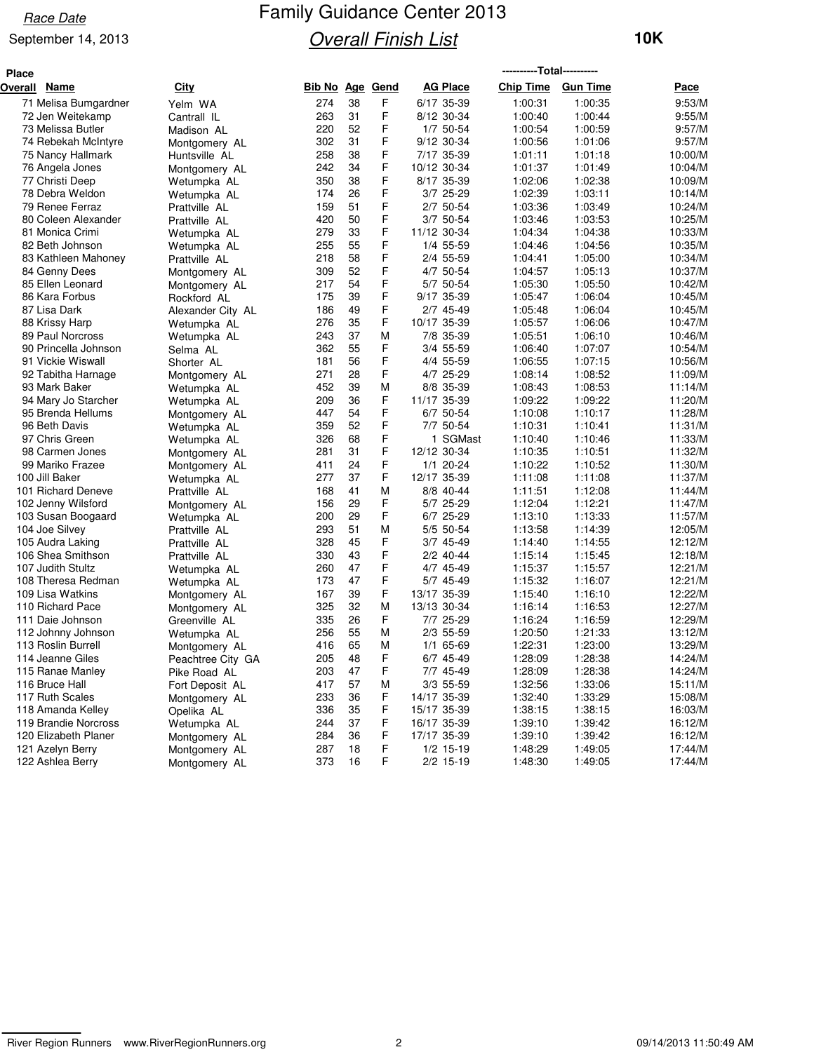#### September 14, 2013

| <b>Place</b> |                      |                   |        |    |                 |                 | -----------Total----------- |                 |         |
|--------------|----------------------|-------------------|--------|----|-----------------|-----------------|-----------------------------|-----------------|---------|
|              | Overall Name         | <b>City</b>       | Bib No |    | <b>Age Gend</b> | <b>AG Place</b> | <b>Chip Time</b>            | <b>Gun Time</b> | Pace    |
|              | 71 Melisa Bumgardner | Yelm WA           | 274    | 38 | F               | 6/17 35-39      | 1:00:31                     | 1:00:35         | 9:53/M  |
|              | 72 Jen Weitekamp     | Cantrall IL       | 263    | 31 | F               | 8/12 30-34      | 1:00:40                     | 1:00:44         | 9:55/M  |
|              | 73 Melissa Butler    | Madison AL        | 220    | 52 | F               | 1/7 50-54       | 1:00:54                     | 1:00:59         | 9:57/M  |
|              | 74 Rebekah McIntyre  | Montgomery AL     | 302    | 31 | F               | 9/12 30-34      | 1:00:56                     | 1:01:06         | 9:57/M  |
|              | 75 Nancy Hallmark    | Huntsville AL     | 258    | 38 | F               | 7/17 35-39      | 1:01:11                     | 1:01:18         | 10:00/M |
|              | 76 Angela Jones      | Montgomery AL     | 242    | 34 | F               | 10/12 30-34     | 1:01:37                     | 1:01:49         | 10:04/M |
|              | 77 Christi Deep      | Wetumpka AL       | 350    | 38 | F               | 8/17 35-39      | 1:02:06                     | 1:02:38         | 10:09/M |
|              | 78 Debra Weldon      | Wetumpka AL       | 174    | 26 | F               | 3/7 25-29       | 1:02:39                     | 1:03:11         | 10:14/M |
|              | 79 Renee Ferraz      | Prattville AL     | 159    | 51 | F               | 2/7 50-54       | 1:03:36                     | 1:03:49         | 10:24/M |
|              | 80 Coleen Alexander  | Prattville AL     | 420    | 50 | F               | 3/7 50-54       | 1:03:46                     | 1:03:53         | 10:25/M |
|              | 81 Monica Crimi      | Wetumpka AL       | 279    | 33 | F               | 11/12 30-34     | 1:04:34                     | 1:04:38         | 10:33/M |
|              | 82 Beth Johnson      | Wetumpka AL       | 255    | 55 | F               | 1/4 55-59       | 1:04:46                     | 1:04:56         | 10:35/M |
|              | 83 Kathleen Mahoney  | Prattville AL     | 218    | 58 | F               | 2/4 55-59       | 1:04:41                     | 1:05:00         | 10:34/M |
|              | 84 Genny Dees        | Montgomery AL     | 309    | 52 | F               | 4/7 50-54       | 1:04:57                     | 1:05:13         | 10:37/M |
|              | 85 Ellen Leonard     | Montgomery AL     | 217    | 54 | F               | 5/7 50-54       | 1:05:30                     | 1:05:50         | 10:42/M |
|              | 86 Kara Forbus       | Rockford AL       | 175    | 39 | F               | 9/17 35-39      | 1:05:47                     | 1:06:04         | 10:45/M |
|              | 87 Lisa Dark         | Alexander City AL | 186    | 49 | F               | 2/7 45-49       | 1:05:48                     | 1:06:04         | 10:45/M |
|              | 88 Krissy Harp       | Wetumpka AL       | 276    | 35 | F               | 10/17 35-39     | 1:05:57                     | 1:06:06         | 10:47/M |
|              | 89 Paul Norcross     | Wetumpka AL       | 243    | 37 | М               | 7/8 35-39       | 1:05:51                     | 1:06:10         | 10:46/M |
|              | 90 Princella Johnson | Selma AL          | 362    | 55 | F               | 3/4 55-59       | 1:06:40                     | 1:07:07         | 10:54/M |
|              | 91 Vickie Wiswall    | Shorter AL        | 181    | 56 | F               | 4/4 55-59       | 1:06:55                     | 1:07:15         | 10:56/M |
|              | 92 Tabitha Harnage   | Montgomery AL     | 271    | 28 | F               | 4/7 25-29       | 1:08:14                     | 1:08:52         | 11:09/M |
|              | 93 Mark Baker        | Wetumpka AL       | 452    | 39 | M               | 8/8 35-39       | 1:08:43                     | 1:08:53         | 11:14/M |
|              | 94 Mary Jo Starcher  | Wetumpka AL       | 209    | 36 | F               | 11/17 35-39     | 1:09:22                     | 1:09:22         | 11:20/M |
|              | 95 Brenda Hellums    | Montgomery AL     | 447    | 54 | F               | 6/7 50-54       | 1:10:08                     | 1:10:17         | 11:28/M |
|              | 96 Beth Davis        | Wetumpka AL       | 359    | 52 | F               | 7/7 50-54       | 1:10:31                     | 1:10:41         | 11:31/M |
|              | 97 Chris Green       | Wetumpka AL       | 326    | 68 | F               | 1 SGMast        | 1:10:40                     | 1:10:46         | 11:33/M |
|              | 98 Carmen Jones      | Montgomery AL     | 281    | 31 | F               | 12/12 30-34     | 1:10:35                     | 1:10:51         | 11:32/M |
|              | 99 Mariko Frazee     | Montgomery AL     | 411    | 24 | F               | $1/1$ 20-24     | 1:10:22                     | 1:10:52         | 11:30/M |
|              | 100 Jill Baker       | Wetumpka AL       | 277    | 37 | F               | 12/17 35-39     | 1:11:08                     | 1:11:08         | 11:37/M |
|              | 101 Richard Deneve   | Prattville AL     | 168    | 41 | M               | 8/8 40-44       | 1:11:51                     | 1:12:08         | 11:44/M |
|              | 102 Jenny Wilsford   | Montgomery AL     | 156    | 29 | F               | 5/7 25-29       | 1:12:04                     | 1:12:21         | 11:47/M |
|              | 103 Susan Boogaard   | Wetumpka AL       | 200    | 29 | F               | 6/7 25-29       | 1:13:10                     | 1:13:33         | 11:57/M |
|              | 104 Joe Silvey       | Prattville AL     | 293    | 51 | M               | 5/5 50-54       | 1:13:58                     | 1:14:39         | 12:05/M |
|              | 105 Audra Laking     | Prattville AL     | 328    | 45 | F               | 3/7 45-49       | 1:14:40                     | 1:14:55         | 12:12/M |
|              | 106 Shea Smithson    | Prattville AL     | 330    | 43 | F               | 2/2 40-44       | 1:15:14                     | 1:15:45         | 12:18/M |
|              | 107 Judith Stultz    | Wetumpka AL       | 260    | 47 | F               | 4/7 45-49       | 1:15:37                     | 1:15:57         | 12:21/M |
|              | 108 Theresa Redman   | Wetumpka AL       | 173    | 47 | F               | 5/7 45-49       | 1:15:32                     | 1:16:07         | 12:21/M |
|              | 109 Lisa Watkins     | Montgomery AL     | 167    | 39 | F               | 13/17 35-39     | 1:15:40                     | 1:16:10         | 12:22/M |
|              | 110 Richard Pace     | Montgomery AL     | 325    | 32 | M               | 13/13 30-34     | 1:16:14                     | 1:16:53         | 12:27/M |
|              | 111 Daie Johnson     | Greenville AL     | 335    | 26 | F               | 7/7 25-29       | 1:16:24                     | 1:16:59         | 12:29/M |
|              | 112 Johnny Johnson   | Wetumpka AL       | 256    | 55 | M               | 2/3 55-59       | 1:20:50                     | 1:21:33         | 13:12/M |
|              | 113 Roslin Burrell   | Montgomery AL     | 416    | 65 | М               | 1/1 65-69       | 1:22:31                     | 1:23:00         | 13:29/M |
|              | 114 Jeanne Giles     | Peachtree City GA | 205    | 48 | F               | 6/7 45-49       | 1:28:09                     | 1:28:38         | 14:24/M |
|              | 115 Ranae Manley     | Pike Road AL      | 203    | 47 | F               | 7/7 45-49       | 1:28:09                     | 1:28:38         | 14:24/M |
|              | 116 Bruce Hall       | Fort Deposit AL   | 417    | 57 | M               | 3/3 55-59       | 1:32:56                     | 1:33:06         | 15:11/M |
|              | 117 Ruth Scales      | Montgomery AL     | 233    | 36 | F               | 14/17 35-39     | 1:32:40                     | 1:33:29         | 15:08/M |
|              | 118 Amanda Kelley    | Opelika AL        | 336    | 35 | F               | 15/17 35-39     | 1:38:15                     | 1:38:15         | 16:03/M |
|              | 119 Brandie Norcross | Wetumpka AL       | 244    | 37 | F               | 16/17 35-39     | 1:39:10                     | 1:39:42         | 16:12/M |
|              | 120 Elizabeth Planer | Montgomery AL     | 284    | 36 | F               | 17/17 35-39     | 1:39:10                     | 1:39:42         | 16:12/M |
|              | 121 Azelyn Berry     | Montgomery AL     | 287    | 18 | F               | $1/2$ 15-19     | 1:48:29                     | 1:49:05         | 17:44/M |
|              | 122 Ashlea Berry     | Montgomery AL     | 373    | 16 | F               | 2/2 15-19       | 1:48:30                     | 1:49:05         | 17:44/M |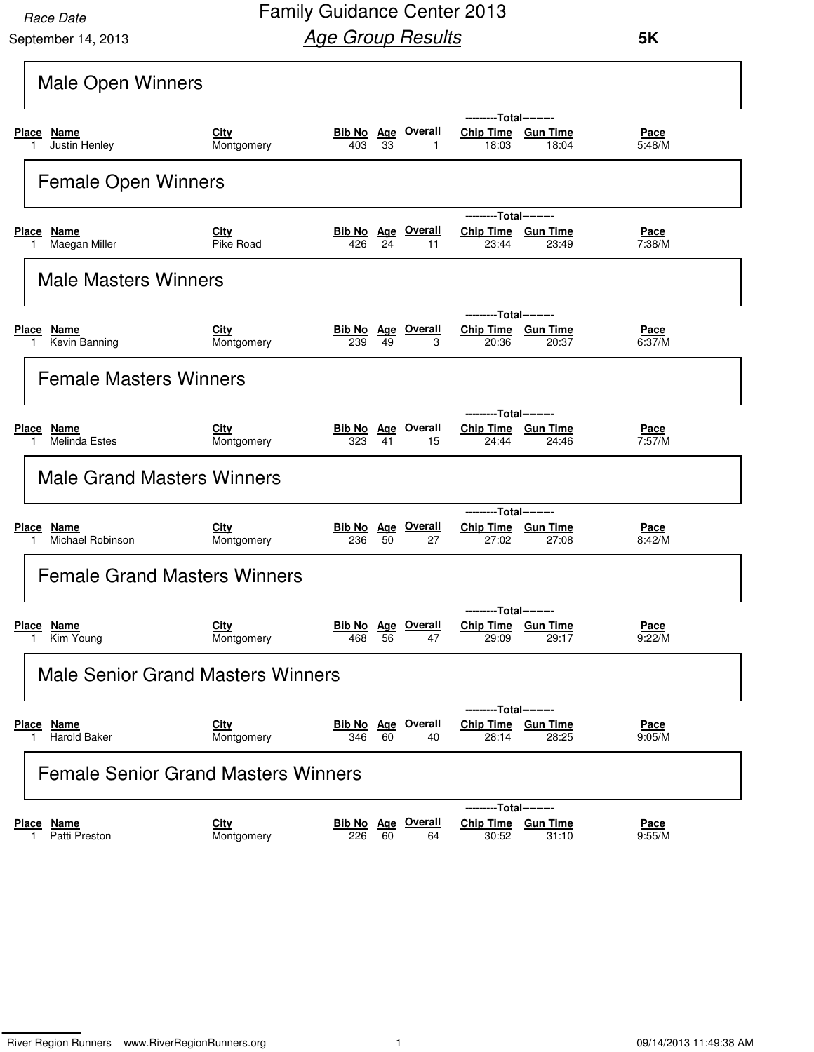September 14, 2013

Family Guidance Center 2013 **Age Group Results** 

|                                                    | <b>Male Open Winners</b>  |                                  |    |                                 |                                                        |                          |                       |  |  |  |  |  |
|----------------------------------------------------|---------------------------|----------------------------------|----|---------------------------------|--------------------------------------------------------|--------------------------|-----------------------|--|--|--|--|--|
|                                                    |                           |                                  |    |                                 | ---------Total---------                                |                          |                       |  |  |  |  |  |
| Place Name<br>Justin Henley<br>1.                  | City<br>Montgomery        | 403                              | 33 | <b>Bib No</b> Age Overall<br>1  | Chip Time Gun Time<br>18:03                            | 18:04                    | Pace<br>5:48/M        |  |  |  |  |  |
| <b>Female Open Winners</b>                         |                           |                                  |    |                                 |                                                        |                          |                       |  |  |  |  |  |
|                                                    |                           |                                  |    |                                 | ---------Total---------                                |                          |                       |  |  |  |  |  |
| <u>Name</u><br><b>Place</b><br>Maegan Miller<br>1. | City<br>Pike Road         | 426                              | 24 | <b>Bib No</b> Age Overall<br>11 | Chip Time Gun Time<br>23:44                            | 23:49                    | <u>Pace</u><br>7:38/M |  |  |  |  |  |
| <b>Male Masters Winners</b>                        |                           |                                  |    |                                 |                                                        |                          |                       |  |  |  |  |  |
|                                                    |                           |                                  |    |                                 | ---------Total---------                                |                          |                       |  |  |  |  |  |
| Place Name<br>Kevin Banning                        | City<br>Montgomery        | <b>Bib No Age Overall</b><br>239 | 49 | 3                               | Chip Time Gun Time<br>20:36                            | 20:37                    | <u>Pace</u><br>6:37/M |  |  |  |  |  |
| <b>Female Masters Winners</b>                      |                           |                                  |    |                                 |                                                        |                          |                       |  |  |  |  |  |
| --------Total---------                             |                           |                                  |    |                                 |                                                        |                          |                       |  |  |  |  |  |
| Place Name<br><b>Melinda Estes</b>                 | <b>City</b><br>Montgomery | 323                              | 41 | <b>Bib No Age Overall</b><br>15 | Chip Time Gun Time<br>24:44                            | 24:46                    | <u>Pace</u><br>7:57/M |  |  |  |  |  |
| <b>Male Grand Masters Winners</b>                  |                           |                                  |    |                                 |                                                        |                          |                       |  |  |  |  |  |
|                                                    |                           |                                  |    |                                 | ---------Total---------                                |                          |                       |  |  |  |  |  |
| Place Name<br>Michael Robinson<br>1.               | City<br>Montgomery        | <b>Bib No Age Overall</b><br>236 | 50 | 27                              | Chip Time Gun Time<br>27:02                            | 27:08                    | Pace<br>8:42/M        |  |  |  |  |  |
| <b>Female Grand Masters Winners</b>                |                           |                                  |    |                                 |                                                        |                          |                       |  |  |  |  |  |
|                                                    |                           |                                  |    |                                 | ---------Total---------                                |                          |                       |  |  |  |  |  |
| <b>Place Name</b><br>Kim Young                     | City<br>Montgomery        | 468                              | 56 | <b>Bib No</b> Age Overall<br>47 | Chip Time Gun Time<br>29:09                            | 29:17                    | <u>Pace</u><br>9:22/M |  |  |  |  |  |
| <b>Male Senior Grand Masters Winners</b>           |                           |                                  |    |                                 |                                                        |                          |                       |  |  |  |  |  |
| Place Name<br><b>Harold Baker</b>                  | City<br>Montgomery        | <b>Bib No Age Overall</b><br>346 | 60 | 40                              | ---------Total---------<br>Chip Time Gun Time<br>28:14 | 28:25                    | Pace<br>9:05/M        |  |  |  |  |  |
| <b>Female Senior Grand Masters Winners</b>         |                           |                                  |    |                                 |                                                        |                          |                       |  |  |  |  |  |
| <b>Place Name</b><br>Patti Preston<br>1.           | City<br>Montgomery        | <b>Bib No</b> Age Overall<br>226 | 60 | 64                              | ---------Total---------<br><b>Chip Time</b><br>30:52   | <u>Gun Time</u><br>31:10 | <u>Pace</u><br>9:55/M |  |  |  |  |  |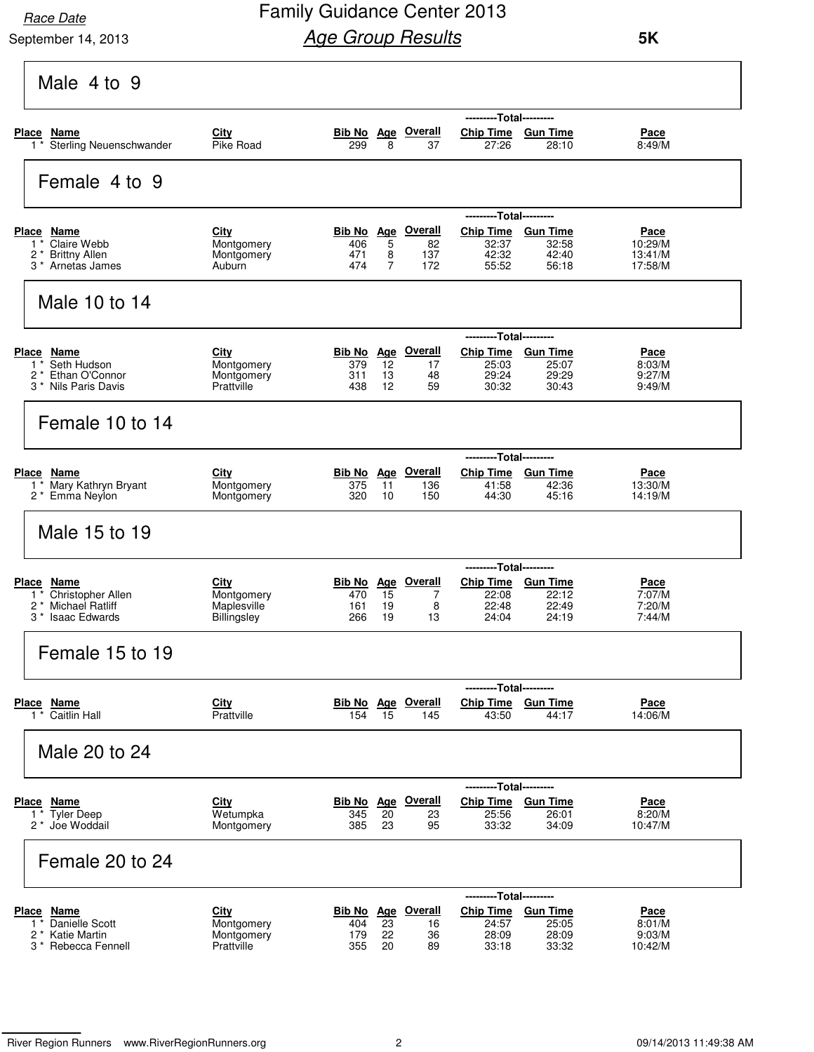September 14, 2013

### Family Guidance Center 2013 **Age Group Results**

| Male 4 to 9                                                |                          |            |                     |                                 |                             |                 |                       |
|------------------------------------------------------------|--------------------------|------------|---------------------|---------------------------------|-----------------------------|-----------------|-----------------------|
|                                                            |                          |            |                     |                                 | ---------Total---------     |                 |                       |
| Place Name                                                 | City                     |            |                     | Bib No Age Overall              | Chip Time Gun Time          |                 | Pace                  |
| 1 <sup>*</sup> Sterling Neuenschwander                     | Pike Road                | 299        | 8                   | 37                              | 27:26                       | 28:10           | 8:49/M                |
|                                                            |                          |            |                     |                                 |                             |                 |                       |
| Female 4 to 9                                              |                          |            |                     |                                 |                             |                 |                       |
|                                                            |                          |            |                     |                                 | ---------Total---------     |                 |                       |
| Place Name                                                 | City                     | Bib No Age |                     | <b>Overall</b>                  | <b>Chip Time</b>            | <u>Gun Time</u> | Pace                  |
| Claire Webb<br>$1^*$                                       | Montgomery               | 406        | 5                   | 82                              | 32:37                       | 32:58           | 10:29/M               |
| <b>Brittny Allen</b><br>2                                  | Montgomery               | 471        | 8<br>$\overline{7}$ | 137                             | 42:32                       | 42:40           | 13:41/M               |
| 3 <sup>*</sup> Arnetas James                               | Auburn                   | 474        |                     | 172                             | 55:52                       | 56:18           | 17:58/M               |
| Male 10 to 14                                              |                          |            |                     |                                 |                             |                 |                       |
|                                                            |                          |            |                     |                                 | ---------Total---------     |                 |                       |
| Place Name                                                 | City                     | Bib No Age |                     | <u>Overall</u>                  | <b>Chip Time</b>            | <b>Gun Time</b> | Pace                  |
| Seth Hudson<br>1                                           | Montgomery               | 379        | 12                  | 17                              | 25:03                       | 25:07           | 8:03/M                |
| Ethan O'Connor<br>$2^*$<br>3 <sup>*</sup> Nils Paris Davis | Montgomery<br>Prattville | 311<br>438 | 13<br>12            | 48<br>59                        | 29:24<br>30:32              | 29:29<br>30:43  | 9:27/M<br>9:49/M      |
|                                                            |                          |            |                     |                                 |                             |                 |                       |
| Female 10 to 14                                            |                          |            |                     |                                 |                             |                 |                       |
|                                                            |                          |            |                     |                                 | ---------Total---------     |                 |                       |
| Place Name                                                 | City                     |            |                     | <b>Bib No Age Overall</b>       | Chip Time Gun Time          |                 | Pace                  |
| Mary Kathryn Bryant<br>$1^*$                               | Montgomery               | 375        | 11                  | 136                             | 41:58                       | 42:36           | 13:30/M               |
| 2 * Emma Neylon                                            | Montgomery               | 320        | 10                  | 150                             | 44:30                       | 45:16           | 14:19/M               |
| Male 15 to 19                                              |                          |            |                     |                                 |                             |                 |                       |
|                                                            |                          |            |                     |                                 | ---------Total---------     |                 |                       |
| <b>Place</b><br>Name                                       | City                     | Bib No Age |                     | <b>Overall</b>                  | <b>Chip Time</b>            | <b>Gun Time</b> | Pace                  |
| Christopher Allen<br>$1 *$                                 | Montgomery               | 470        | 15                  | 7                               | 22:08                       | 22:12           | 7:07/M                |
| Michael Ratliff<br>2<br>3 *                                | Maplesville              | 161        | 19<br>19            | 8<br>13                         | 22:48                       | 22:49           | 7:20/M                |
| <b>Isaac Edwards</b>                                       | Billingsley              | 266        |                     |                                 | 24:04                       | 24:19           | 7:44/M                |
| Female 15 to 19                                            |                          |            |                     |                                 |                             |                 |                       |
|                                                            |                          |            |                     |                                 | ---------Total---------     |                 |                       |
| Place Name                                                 | City                     |            |                     | <b>Bib No Age Overall</b>       | Chip Time Gun Time          |                 | Pace                  |
| 1 * Caitlin Hall                                           | Prattville               | 154        | 15                  | 145                             | 43:50                       | 44:17           | 14:06/M               |
| Male 20 to 24                                              |                          |            |                     |                                 |                             |                 |                       |
|                                                            |                          |            |                     |                                 |                             |                 |                       |
|                                                            |                          |            |                     |                                 | ---------Total---------     |                 |                       |
| Place Name<br>1 * Tyler Deep                               | <b>City</b><br>Wetumpka  | 345        | 20                  | <b>Bib No Age Overall</b><br>23 | Chip Time Gun Time<br>25:56 | 26:01           | <u>Pace</u><br>8:20/M |
| 2 <sup>*</sup> Joe Woddail                                 | Montgomery               | 385        | 23                  | 95                              | 33:32                       | 34:09           | 10:47/M               |
|                                                            |                          |            |                     |                                 |                             |                 |                       |
| Female 20 to 24                                            |                          |            |                     |                                 |                             |                 |                       |
|                                                            |                          |            |                     |                                 | ---------Total---------     |                 |                       |
| Place Name                                                 | <b>City</b>              |            |                     | Bib No Age Overall              | Chip Time Gun Time          |                 | <u>Pace</u>           |
| <b>Danielle Scott</b><br>1                                 | Montgomery               | 404        | 23                  | 16                              | 24:57                       | 25:05           | 8:01/M                |
| 2<br><b>Katie Martin</b>                                   | Montgomery               | 179        | 22                  | 36                              | 28:09                       | 28:09           | 9:03/M                |
| 3 <sup>*</sup> Rebecca Fennell                             | Prattville               | 355        | 20                  | 89                              | 33:18                       | 33:32           | 10:42/M               |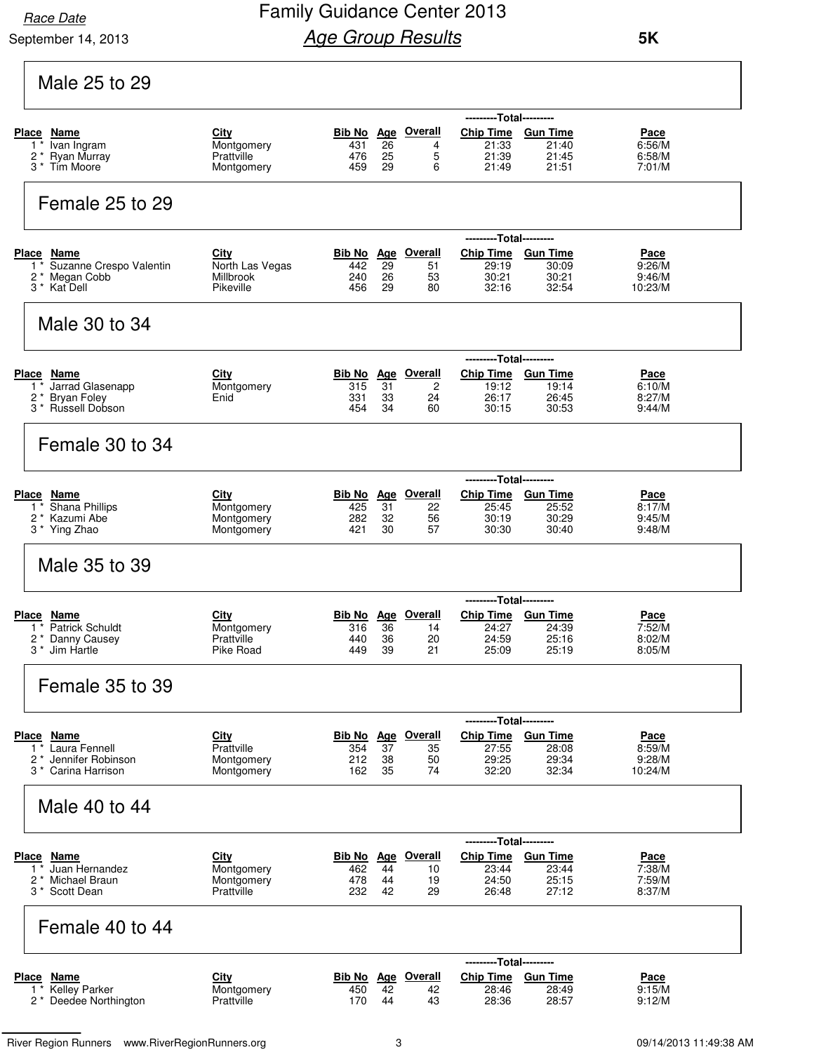September 14, 2013

### Family Guidance Center 2013 **Age Group Results**

|                                                               |                           |            |          |                                 | ---------Total---------                       |                 |                       |
|---------------------------------------------------------------|---------------------------|------------|----------|---------------------------------|-----------------------------------------------|-----------------|-----------------------|
| Place Name                                                    | City                      |            |          | Bib No Age Overall              | <b>Chip Time</b>                              | <b>Gun Time</b> | Pace                  |
| Ivan Ingram<br>1<br>2 * Ryan Murray                           | Montgomery<br>Prattville  | 431<br>476 | 26<br>25 | 4<br>5                          | 21:33<br>21:39                                | 21:40<br>21:45  | 6:56/M<br>6:58/M      |
| 3 <sup>*</sup> Tim Moore                                      | Montgomery                | 459        | 29       | 6                               | 21:49                                         | 21:51           | 7:01/M                |
| Female 25 to 29                                               |                           |            |          |                                 |                                               |                 |                       |
| Place Name                                                    | City                      |            |          | Bib No Age Overall              | ---------Total---------<br>Chip Time Gun Time |                 | Pace                  |
| Suzanne Crespo Valentin<br>$\mathbf{1}$                       | North Las Vegas           | 442        | 29       | 51                              | 29:19                                         | 30:09           | 9:26/M                |
| 2 * Megan Cobb<br>3 * Kat Dell                                | Millbrook<br>Pikeville    | 240<br>456 | 26<br>29 | 53<br>80                        | 30:21<br>32:16                                | 30:21<br>32:54  | 9:46/M<br>10:23/M     |
| Male 30 to 34                                                 |                           |            |          |                                 |                                               |                 |                       |
|                                                               |                           |            |          |                                 | ---------Total---------                       |                 |                       |
| Place Name<br>1 <sup>*</sup> Jarrad Glasenapp                 | <u>City</u><br>Montgomery | 315        | 31       | <b>Bib No</b> Age Overall<br>2  | Chip Time Gun Time<br>19:12                   | 19:14           | <u>Pace</u><br>6:10/M |
| 2 * Bryan Foley<br>3 <sup>*</sup> Russell Dobson              | Enid                      | 331<br>454 | 33<br>34 | 24<br>60                        | 26:17<br>30:15                                | 26:45<br>30:53  | 8:27/M<br>9:44/M      |
| Female 30 to 34                                               |                           |            |          |                                 |                                               |                 |                       |
|                                                               |                           |            |          |                                 | ---------Total---------                       |                 |                       |
| Place Name                                                    | <b>City</b>               |            |          | Bib No Age Overall              | Chip Time Gun Time                            |                 | Pace                  |
| <b>Shana Phillips</b><br>$1^*$<br>2* Kazumi Abe               | Montgomery<br>Montgomery  | 425<br>282 | 31<br>32 | 22<br>56                        | 25:45<br>30:19                                | 25:52<br>30:29  | 8:17/M<br>9:45/M      |
| 3 * Ying Zhao                                                 | Montgomery                | 421        | 30       | 57                              | 30:30                                         | 30:40           | 9:48/M                |
| Male 35 to 39                                                 |                           |            |          |                                 |                                               |                 |                       |
|                                                               |                           |            |          |                                 | ---------Total---------                       |                 |                       |
| <b>Place Name</b><br>1 * Patrick Schuldt                      | City<br>Montgomery        | 316        | 36       | <b>Bib No</b> Age Overall<br>14 | Chip Time Gun Time<br>24:27                   | 24:39           | <u>Pace</u><br>7:52/M |
| 2 * Danny Causey                                              | Prattville                | 440        | 36       | 20                              | 24:59                                         | 25:16           | 8:02/M                |
| 3 <sup>*</sup> Jim Hartle                                     | Pike Road                 | 449        | 39       | 21                              | 25:09                                         | 25:19           | 8:05/M                |
| Female 35 to 39                                               |                           |            |          |                                 |                                               |                 |                       |
|                                                               |                           |            |          |                                 | --Total---------                              |                 |                       |
| <b>Place Name</b>                                             | City                      |            |          | Bib No Age Overall              | <b>Chip Time</b>                              | <b>Gun Time</b> | Pace                  |
| Laura Fennell<br>$1^*$<br>$\overline{c}$<br>Jennifer Robinson | Prattville<br>Montgomery  | 354<br>212 | 37<br>38 | 35<br>50                        | 27:55<br>29:25                                | 28:08<br>29:34  | 8:59/M<br>9:28/M      |
| Carina Harrison<br>$3^*$                                      | Montgomery                | 162        | 35       | 74                              | 32:20                                         | 32:34           | 10:24/M               |
| Male 40 to 44                                                 |                           |            |          |                                 |                                               |                 |                       |
|                                                               |                           |            |          |                                 | ---------Total---------                       |                 |                       |
| Place Name                                                    | <b>City</b>               |            |          | <b>Bib No</b> Age Overall       | Chip Time Gun Time                            |                 | Pace                  |
| Juan Hernandez<br>$1^*$<br>$2^*$<br>Michael Braun             | Montgomery<br>Montgomery  | 462<br>478 | 44<br>44 | 10<br>19                        | 23:44<br>24:50                                | 23:44<br>25:15  | 7:38/M<br>7:59/M      |
| 3 <sup>*</sup> Scott Dean                                     | Prattville                | 232        | 42       | 29                              | 26:48                                         | 27:12           | 8:37/M                |
| Female 40 to 44                                               |                           |            |          |                                 |                                               |                 |                       |
|                                                               |                           |            |          |                                 | ---------Total---------                       |                 |                       |
| <b>Place Name</b><br><b>Kelley Parker</b><br>$\mathbf{1}$     | City<br>Montgomery        |            | 42       | <b>Bib No</b> Age Overall       | <b>Chip Time</b>                              | <b>Gun Time</b> | <u>Pace</u><br>9:15/M |
|                                                               |                           | 450        |          | 42                              | 28:46<br>28:36                                | 28:49           |                       |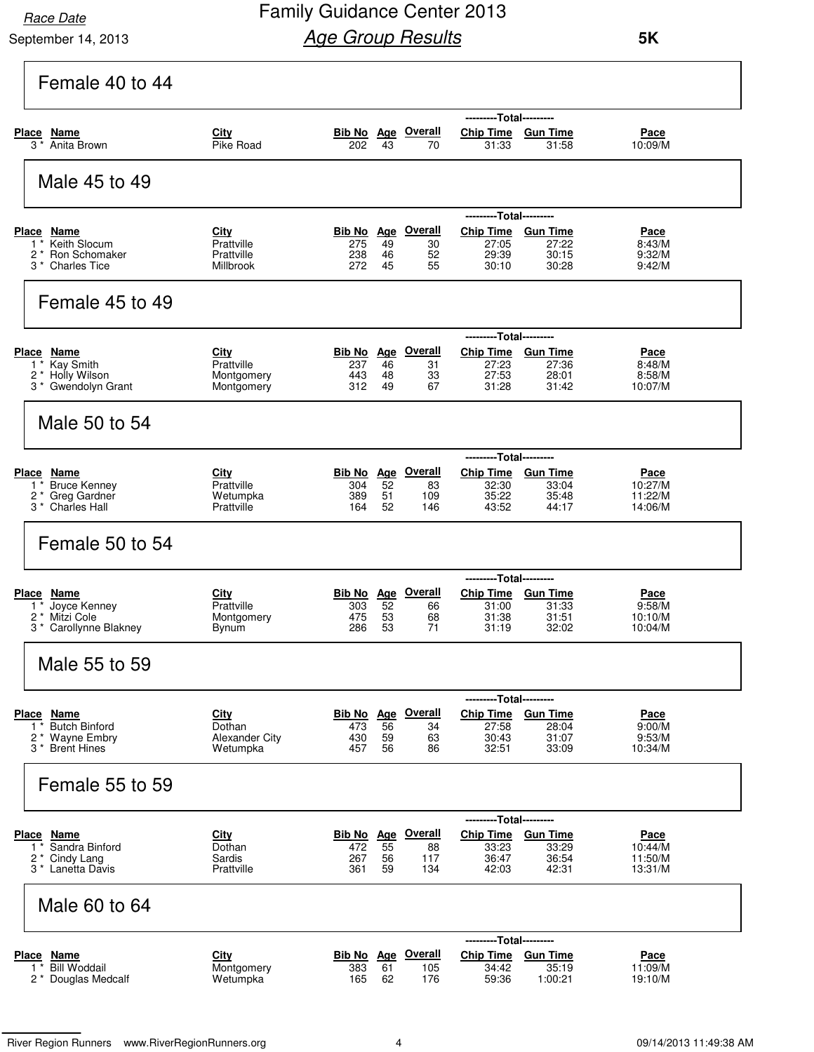September 14, 2013

| Female 40 to 44                                                                                                    |                                                       |                                                |                              |                                             |                                                                          |                                                                 |                                              |
|--------------------------------------------------------------------------------------------------------------------|-------------------------------------------------------|------------------------------------------------|------------------------------|---------------------------------------------|--------------------------------------------------------------------------|-----------------------------------------------------------------|----------------------------------------------|
| Place<br>Name<br>$3 *$<br>Anita Brown                                                                              | City<br>Pike Road                                     | 202                                            | 43                           | Bib No Age Overall<br>70                    | Chip Time Gun Time<br>31:33                                              | --Total---------<br>31:58                                       | Pace<br>10:09/M                              |
| Male 45 to 49                                                                                                      |                                                       |                                                |                              |                                             |                                                                          |                                                                 |                                              |
| Place Name<br>Keith Slocum<br>$1^*$<br>$2^*$<br>Ron Schomaker<br>3 *<br><b>Charles Tice</b>                        | City<br>Prattville<br>Prattville<br>Millbrook         | Bib No<br>275<br>238<br>272                    | <b>Age</b><br>49<br>46<br>45 | <b>Overall</b><br>30<br>52<br>55            | ---------Total---------<br><b>Chip Time</b><br>27:05<br>29:39<br>30:10   | <b>Gun Time</b><br>27:22<br>30:15<br>30:28                      | Pace<br>8:43/M<br>9:32/M<br>9:42/M           |
| Female 45 to 49                                                                                                    |                                                       |                                                |                              |                                             |                                                                          |                                                                 |                                              |
| Place<br>Name<br>Kay Smith<br>1<br>2<br>Holly Wilson<br>Gwendolyn Grant<br>3 *                                     | <b>City</b><br>Prattville<br>Montgomery<br>Montgomery | Bib No<br>237<br>443<br>312                    | 46<br>48<br>49               | Age Overall<br>31<br>33<br>67               | ---------Total---------<br><b>Chip Time</b><br>27:23<br>27:53<br>31:28   | <b>Gun Time</b><br>27:36<br>28:01<br>31:42                      | <u>Pace</u><br>8:48/M<br>8:58/M<br>10:07/M   |
| Male 50 to 54                                                                                                      |                                                       |                                                |                              |                                             |                                                                          |                                                                 |                                              |
| <b>Place</b><br><u>Name</u><br><b>Bruce Kenney</b><br>$1^*$<br>2 *<br>Greg Gardner<br>$3^*$<br><b>Charles Hall</b> | City<br>Prattville<br>Wetumpka<br>Prattville          | Bib No Age<br>304<br>389<br>164                | 52<br>51<br>52               | <b>Overall</b><br>83<br>109<br>146          | ---------Total---------<br>Chip Time Gun Time<br>32:30<br>35:22<br>43:52 | 33:04<br>35:48<br>44:17                                         | <u>Pace</u><br>10:27/M<br>11:22/M<br>14:06/M |
| Female 50 to 54                                                                                                    |                                                       |                                                |                              |                                             |                                                                          |                                                                 |                                              |
| <b>Place</b><br>Name<br>Joyce Kenney<br>$\mathbf{1}$<br>Mitzi Cole<br>2<br>* Carollynne Blakney<br>3               | <b>City</b><br>Prattville<br>Montgomery<br>Bynum      | <b>Bib No</b> Age Overall<br>303<br>475<br>286 | 52<br>53<br>53               | 66<br>68<br>71                              | ---------Total---------<br>Chip Time Gun Time<br>31:00<br>31:38<br>31:19 | 31:33<br>31:51<br>32:02                                         | Pace<br>9:58/M<br>10:10/M<br>10:04/M         |
| Male 55 to 59                                                                                                      |                                                       |                                                |                              |                                             |                                                                          |                                                                 |                                              |
| Place Name<br><b>Butch Binford</b><br>$1^*$<br>2* Wayne Embry<br>3 <sup>*</sup> Brent Hines                        | City<br>Dothan<br>Alexander City<br>Wetumpka          | 473<br>430<br>457                              | 56<br>59<br>56               | <b>Bib No Age Overall</b><br>34<br>63<br>86 | Chip Time Gun Time<br>27:58<br>30:43<br>32:51                            | ---Total---------<br>28:04<br>31:07<br>33:09                    | Pace<br>9:00/M<br>9:53/M<br>10:34/M          |
| Female 55 to 59                                                                                                    |                                                       |                                                |                              |                                             |                                                                          |                                                                 |                                              |
| <u>Name</u><br><b>Place</b><br>Sandra Binford<br>$1^*$<br>Cindy Lang<br>2 *<br>3 * Lanetta Davis                   | <b>City</b><br>Dothan<br>Sardis<br>Prattville         | <u>Bib No</u><br>472<br>267<br>361             | <u>Age</u><br>55<br>56<br>59 | <b>Overall</b><br>88<br>117<br>134          | ------<br><b>Chip Time</b><br>33:23<br>36:47<br>42:03                    | ---Total---------<br><b>Gun Time</b><br>33:29<br>36:54<br>42:31 | Pace<br>10:44/M<br>11:50/M<br>13:31/M        |
| Male 60 to 64                                                                                                      |                                                       |                                                |                              |                                             |                                                                          |                                                                 |                                              |
| Place Name<br>$1$ *<br><b>Bill Woddail</b><br>2 * Douglas Medcalf                                                  | <b>City</b><br>Montgomery<br>Wetumpka                 | 383<br>165                                     | 61<br>62                     | Bib No Age Overall<br>105<br>176            | ---------Total---------<br>Chip Time Gun Time<br>34:42<br>59:36          | 35:19<br>1:00:21                                                | Pace<br>11:09/M<br>19:10/M                   |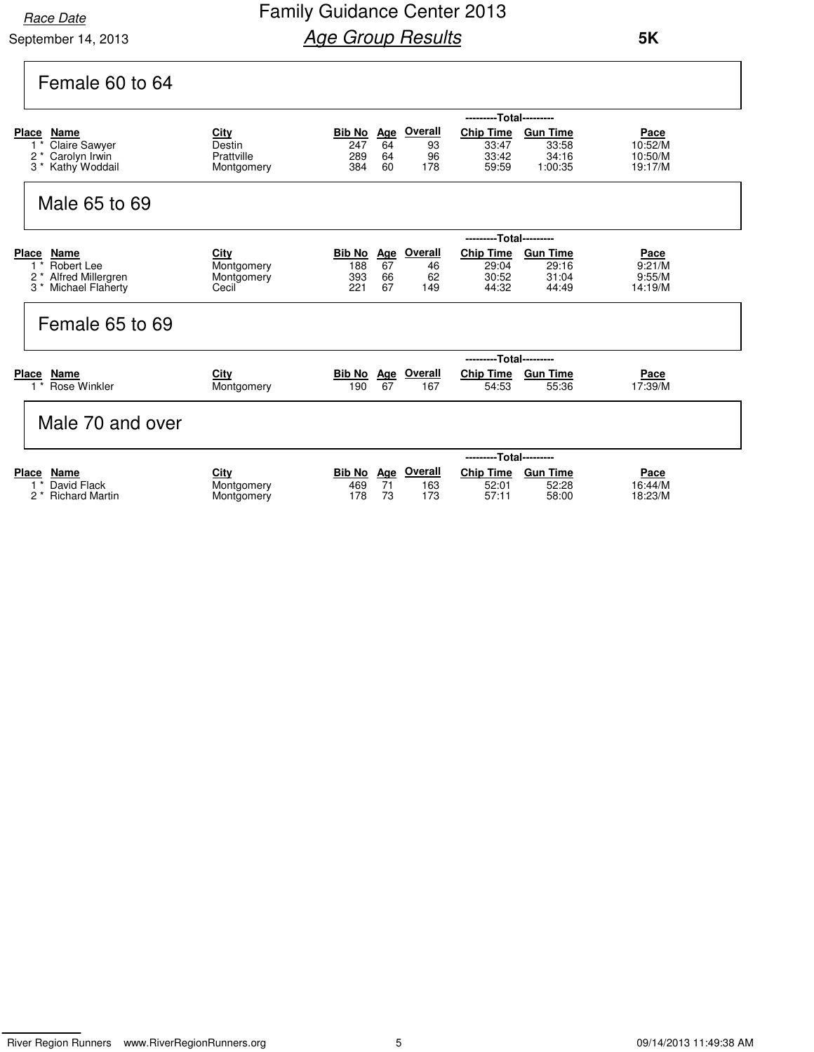September 14, 2013

## Family Guidance Center 2013 **Age Group Results**

 **5K**

| Female 60 to 64                                                                                    |                                                   |                                 |                |                                   |                                             |                                              |                                              |
|----------------------------------------------------------------------------------------------------|---------------------------------------------------|---------------------------------|----------------|-----------------------------------|---------------------------------------------|----------------------------------------------|----------------------------------------------|
|                                                                                                    |                                                   |                                 |                |                                   | ---------Total---------                     |                                              |                                              |
| Place<br>Name<br><b>Claire Sawyer</b><br>$\overline{2}$<br>Carolyn Irwin<br>$3 *$<br>Kathy Woddail | <u>City</u><br>Destin<br>Prattville<br>Montgomery | Bib No Age<br>247<br>289<br>384 | 64<br>64<br>60 | <b>Overall</b><br>93<br>96<br>178 | <b>Chip Time</b><br>33:47<br>33:42<br>59:59 | <b>Gun Time</b><br>33:58<br>34:16<br>1:00:35 | <u>Pace</u><br>10:52/M<br>10:50/M<br>19:17/M |
| Male 65 to 69                                                                                      |                                                   |                                 |                |                                   |                                             |                                              |                                              |
| Place<br>Name                                                                                      | City                                              | <b>Bib No</b>                   | Age            | <b>Overall</b>                    | ---------Total---------<br><b>Chip Time</b> | <b>Gun Time</b>                              | Pace                                         |
| $1^*$<br>Robert Lee                                                                                | Montgomery                                        | 188                             | 67             | 46                                | 29:04                                       | 29:16                                        | 9:21/M                                       |
| $2^*$<br>Alfred Millergren<br>$3 *$<br>Michael Flaherty                                            | Montgomery<br>Cecil                               | 393<br>221                      | 66<br>67       | 62<br>149                         | 30:52<br>44:32                              | 31:04<br>44:49                               | 9:55/M<br>14:19/M                            |
| Female 65 to 69                                                                                    |                                                   |                                 |                |                                   |                                             |                                              |                                              |
|                                                                                                    |                                                   |                                 |                |                                   | ---------Total---------                     |                                              |                                              |
|                                                                                                    |                                                   |                                 |                | $\sim$ $\sim$ $\sim$              |                                             |                                              |                                              |

| Place | Name                        | <u>City</u> | <b>Bib No</b> | Aae | Overall | <b>Chip Time</b> | <b>Gun Time</b> | <u>Pace</u> |
|-------|-----------------------------|-------------|---------------|-----|---------|------------------|-----------------|-------------|
|       | 1 <sup>*</sup> Rose Winkler | Montgomerv  | 190           | 67  | 167     | 54:53            | 55:36           | 7:39/M      |
|       |                             |             |               |     |         |                  |                 |             |

### Male 70 and over

|       |                               |            | ---------Total--------- |     |         |                  |                 |         |  |  |
|-------|-------------------------------|------------|-------------------------|-----|---------|------------------|-----------------|---------|--|--|
| Place | Name                          | City       | <b>Bib No</b>           | Aae | Overall | <b>Chip Time</b> | <b>Gun Time</b> | Pace    |  |  |
|       | 1 <sup>*</sup> David Flack    | Montgomery | 469                     |     | 163     | 52:01            | 52:28           | 16:44/M |  |  |
|       | 2 <sup>*</sup> Richard Martin | Montgomery | 178                     | 73  | 173     | 57:11            | 58:00           | 18:23/M |  |  |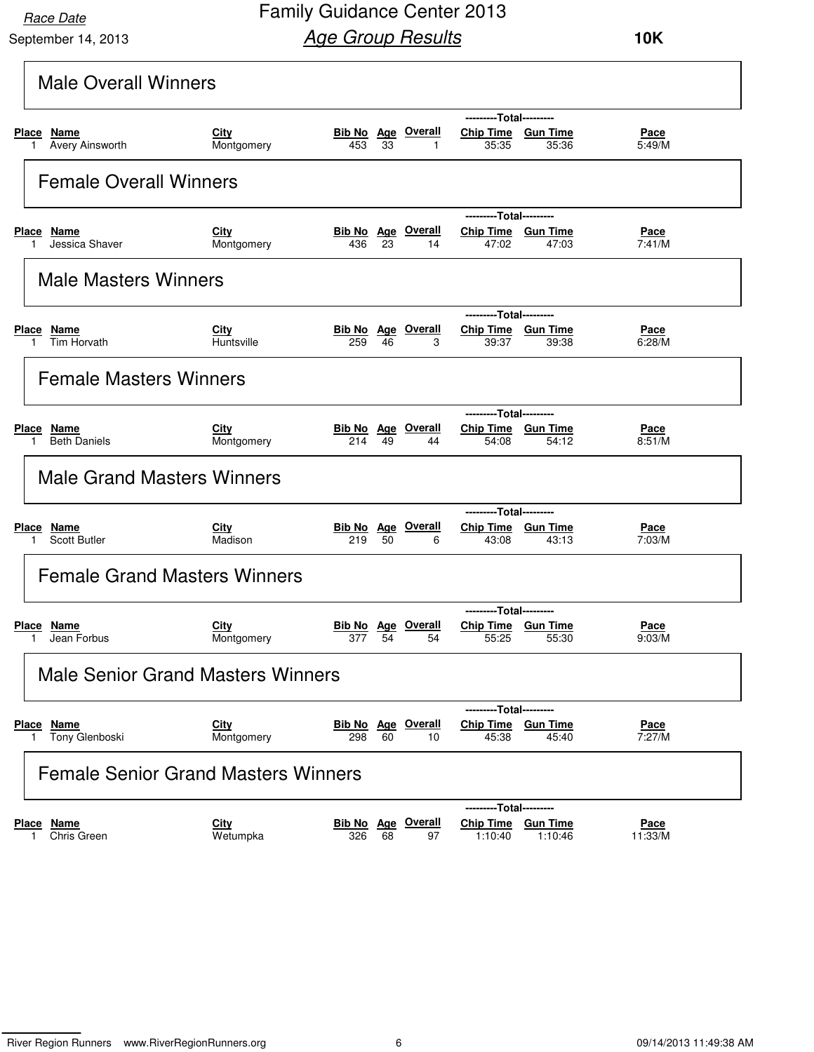September 14, 2013

| <b>Male Overall Winners</b>                      |                                            |                                     |    |              |                                                        |                            |                        |
|--------------------------------------------------|--------------------------------------------|-------------------------------------|----|--------------|--------------------------------------------------------|----------------------------|------------------------|
|                                                  |                                            |                                     |    |              | ---------Total---------                                |                            |                        |
| Place Name<br>Avery Ainsworth<br>1               | City<br>Montgomery                         | Bib No Age Overall<br>453           | 33 | $\mathbf{1}$ | Chip Time Gun Time<br>35:35                            | 35:36                      | Pace<br>5:49/M         |
| <b>Female Overall Winners</b>                    |                                            |                                     |    |              |                                                        |                            |                        |
| <b>Place Name</b><br>Jessica Shaver              | City<br>Montgomery                         | <b>Bib No Age Overall</b><br>436    | 23 | 14           | ---------Total---------<br>Chip Time Gun Time<br>47:02 | 47:03                      | Pace<br>7:41/M         |
| <b>Male Masters Winners</b>                      |                                            |                                     |    |              |                                                        |                            |                        |
|                                                  |                                            |                                     |    |              | ---------Total---------                                |                            |                        |
| Place Name<br>Tim Horvath<br>1.                  | City<br>Huntsville                         | <b>Bib No</b> Age Overall<br>259    | 46 | 3            | Chip Time Gun Time<br>39:37                            | 39:38                      | Pace<br>6:28/M         |
| <b>Female Masters Winners</b>                    |                                            |                                     |    |              |                                                        |                            |                        |
|                                                  |                                            |                                     |    |              | ---------Total---------                                |                            |                        |
| Place Name<br><b>Beth Daniels</b>                | City<br>Montgomery                         | Bib No Age Overall<br>214           | 49 | 44           | Chip Time Gun Time<br>54:08                            | 54:12                      | <u>Pace</u><br>8:51/M  |
| <b>Male Grand Masters Winners</b>                |                                            |                                     |    |              |                                                        |                            |                        |
|                                                  |                                            |                                     |    |              | ---------Total---------                                |                            |                        |
| Place Name<br><b>Scott Butler</b><br>1.          | City<br>Madison                            | <b>Bib No Age Overall</b><br>219 50 |    | 6            | Chip Time Gun Time<br>43:08                            | 43:13                      | Pace<br>7:03/M         |
|                                                  | <b>Female Grand Masters Winners</b>        |                                     |    |              |                                                        |                            |                        |
|                                                  |                                            |                                     |    |              | ---------Total---------                                |                            |                        |
| Place Name<br>Jean Forbus                        | City<br>Montgomery                         | <b>Bib No Age Overall</b><br>377    | 54 | 54           | Chip Time Gun Time<br>55:25                            | 55:30                      | Pace<br>9:03/M         |
|                                                  | <b>Male Senior Grand Masters Winners</b>   |                                     |    |              |                                                        |                            |                        |
|                                                  |                                            |                                     |    |              | ---------Total---------                                |                            |                        |
| Place Name<br>Tony Glenboski<br>1.               | <b>City</b><br>Montgomery                  | <b>Bib No Age Overall</b><br>298    | 60 | 10           | Chip Time Gun Time<br>45:38                            | 45:40                      | Pace<br>7:27/M         |
|                                                  | <b>Female Senior Grand Masters Winners</b> |                                     |    |              |                                                        |                            |                        |
|                                                  |                                            |                                     |    |              |                                                        | --Total---------           |                        |
| <u>Name</u><br><u>Place</u><br>Chris Green<br>1. | <b>City</b><br>Wetumpka                    | Bib No Age Overall<br>326           | 68 | 97           | <b>Chip Time</b><br>1:10:40                            | <b>Gun Time</b><br>1:10:46 | <b>Pace</b><br>11:33/M |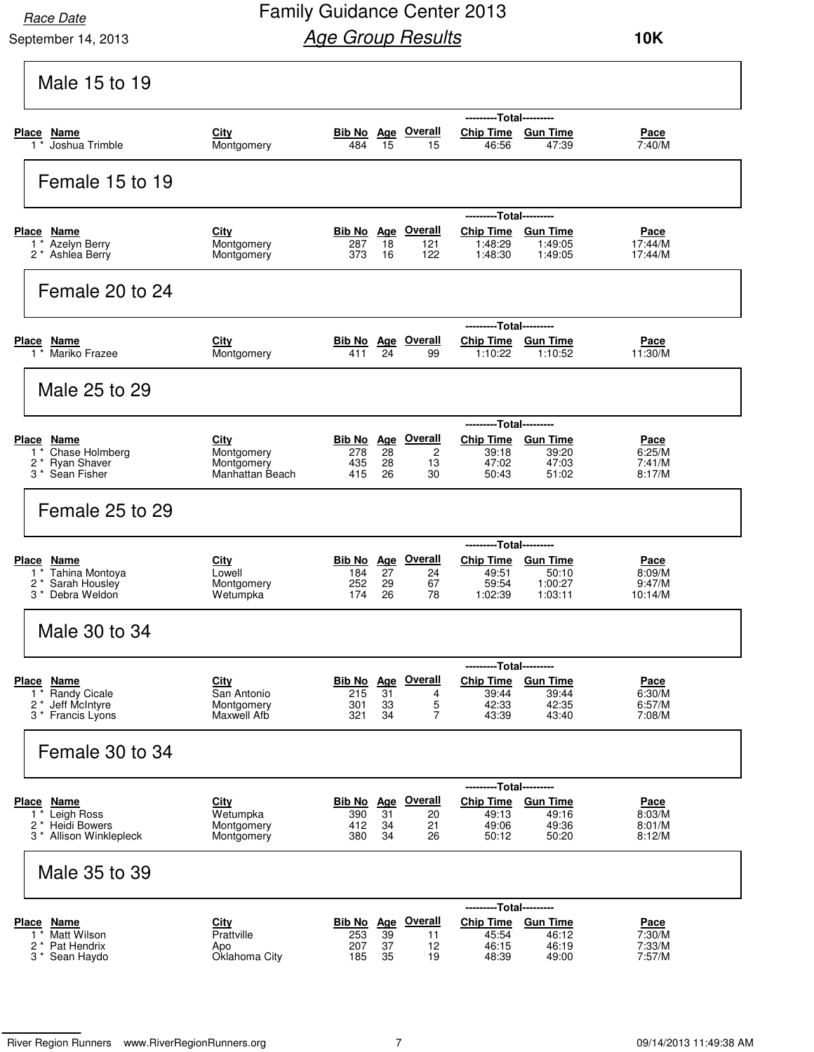September 14, 2013

## Family Guidance Center 2013 **Age Group Results**

| Male 15 to 19                                                                           |                                                         |                   |                |                                                  |                                                                            |                             |                                           |
|-----------------------------------------------------------------------------------------|---------------------------------------------------------|-------------------|----------------|--------------------------------------------------|----------------------------------------------------------------------------|-----------------------------|-------------------------------------------|
| Place Name<br>Joshua Trimble<br>$1$ *                                                   | City<br>Montgomery                                      | 484               | 15             | Bib No Age Overall<br>15                         | ---------Total---------<br>Chip Time Gun Time<br>46:56                     | 47:39                       | Pace<br>7:40/M                            |
| Female 15 to 19                                                                         |                                                         |                   |                |                                                  |                                                                            |                             |                                           |
| Place Name<br>1 <sup>*</sup> Azelyn Berry<br>2 * Ashlea Berry                           | City<br>Montgomery<br>Montgomery                        | 287<br>373        | 18<br>16       | <b>Bib No</b> Age Overall<br>121<br>122          | ---------Total---------<br>Chip Time Gun Time<br>1:48:29<br>1:48:30        | 1:49:05<br>1:49:05          | Pace<br>17:44/M<br>17:44/M                |
| Female 20 to 24                                                                         |                                                         |                   |                |                                                  |                                                                            |                             |                                           |
| Place Name<br>1 <sup>*</sup> Mariko Frazee                                              | City<br>Montgomery                                      | 411               | 24             | <b>Bib No Age Overall</b><br>99                  | ---------Total---------<br>Chip Time Gun Time<br>1:10:22                   | 1:10:52                     | Pace<br>11:30/M                           |
| Male 25 to 29                                                                           |                                                         |                   |                |                                                  |                                                                            |                             |                                           |
| Place Name<br>Chase Holmberg<br>$1^*$<br>2 * Ryan Shaver<br>3 <sup>*</sup> Sean Fisher  | City<br>Montgomery<br>Montgomery<br>Manhattan Beach     | 278<br>435<br>415 | 28<br>28<br>26 | Bib No Age Overall<br>$\overline{c}$<br>13<br>30 | ---------Total---------<br>Chip Time Gun Time<br>39:18<br>47:02<br>50:43   | 39:20<br>47:03<br>51:02     | Pace<br>6:25/M<br>7:41/M<br>8:17/M        |
| Female 25 to 29                                                                         |                                                         |                   |                |                                                  |                                                                            |                             |                                           |
| Place Name<br>1 * Tahina Montoya<br>2 * Sarah Housley<br>3 * Debra Weldon               | City<br>Lowell<br>Montgomery<br>Wetumpka                | 184<br>252<br>174 | 27<br>29<br>26 | <b>Bib No Age Overall</b><br>24<br>67<br>78      | ---------Total---------<br>Chip Time Gun Time<br>49:51<br>59:54<br>1:02:39 | 50:10<br>1:00:27<br>1:03:11 | Pace<br>8:09/M<br>9:47/M<br>10:14/M       |
| Male 30 to 34                                                                           |                                                         |                   |                |                                                  |                                                                            |                             |                                           |
| <b>Place Name</b><br><b>Randy Cicale</b><br>1<br>2 * Jeff McIntyre<br>3 * Francis Lyons | <b>City</b><br>San Antonio<br>Montgomery<br>Maxwell Afb | 215<br>301<br>321 | 31<br>33<br>34 | Bib No Age Overall<br>4<br>5<br>7                | ---------Total---------<br>Chip Time Gun Time<br>39:44<br>42:33<br>43:39   | 39:44<br>42:35<br>43:40     | <u>Pace</u><br>6:30/M<br>6:57/M<br>7:08/M |
| Female 30 to 34                                                                         |                                                         |                   |                |                                                  |                                                                            |                             |                                           |
| Place Name<br>1* Leigh Ross<br>2 <sup>*</sup> Heidi Bowers<br>3 * Allison Winklepleck   | <b>City</b><br>Wetumpka<br>Montgomery<br>Montgomery     | 390<br>412<br>380 | 31<br>34<br>34 | Bib No Age Overall<br>20<br>21<br>26             | ---------Total---------<br>Chip Time Gun Time<br>49:13<br>49:06<br>50:12   | 49:16<br>49:36<br>50:20     | Pace<br>8:03/M<br>8:01/M<br>8:12/M        |
| Male 35 to 39                                                                           |                                                         |                   |                |                                                  |                                                                            |                             |                                           |
| Place Name<br><b>Matt Wilson</b><br>$1^*$<br>2 * Pat Hendrix<br>3 * Sean Haydo          | <b>City</b><br>Prattville<br>Apo<br>Oklahoma City       | 253<br>207<br>185 | 39<br>37<br>35 | Bib No Age Overall<br>11<br>12<br>19             | ---------Total---------<br>Chip Time Gun Time<br>45:54<br>46:15<br>48:39   | 46:12<br>46:19<br>49:00     | <u>Pace</u><br>7:30/M<br>7:33/M<br>7:57/M |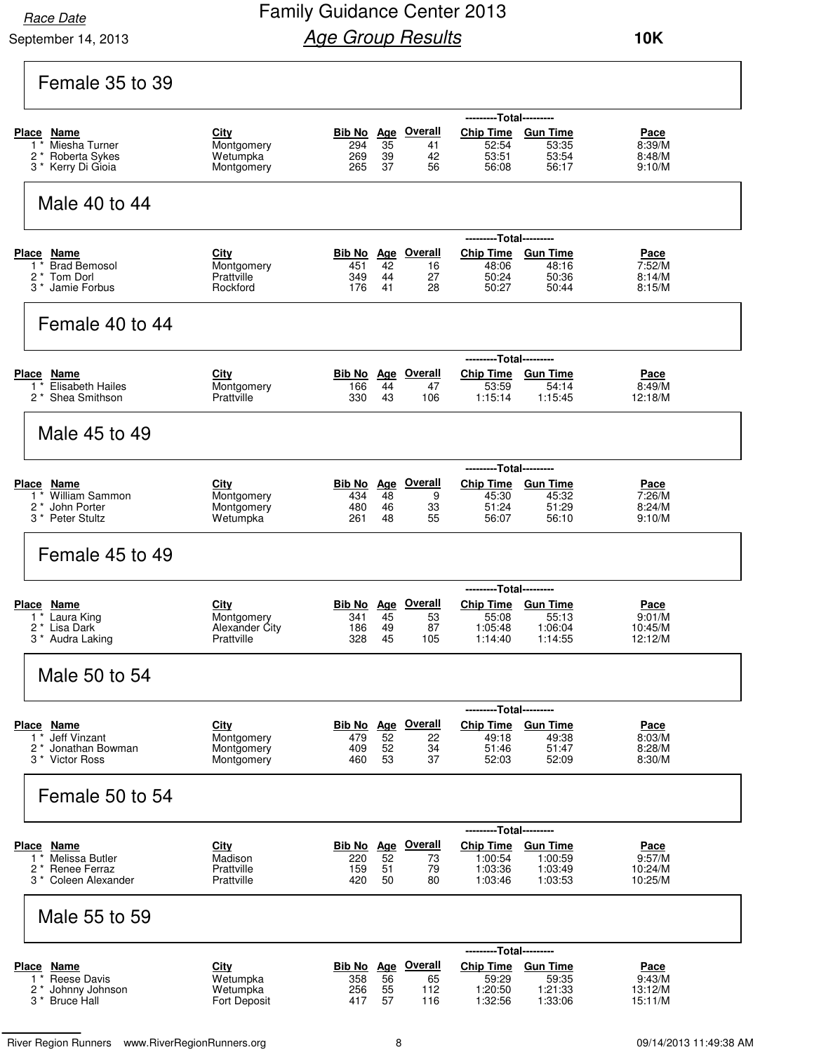September 14, 2013

### Family Guidance Center 2013 **Age Group Results**

 **10K**

| Female 35 to 39                                                                                                 |                                                            |                                                |                              |                                        |                                                                              |                                                  |                                             |
|-----------------------------------------------------------------------------------------------------------------|------------------------------------------------------------|------------------------------------------------|------------------------------|----------------------------------------|------------------------------------------------------------------------------|--------------------------------------------------|---------------------------------------------|
| Place Name<br>1 <sup>*</sup> Miesha Turner<br>2* Roberta Sykes<br>3 <sup>*</sup> Kerry Di Gioia                 | City<br>Montgomery<br>Wetumpka<br>Montgomery               | Bib No Age Overall<br>294<br>269<br>265        | $\overline{35}$<br>39<br>37  | 41<br>42<br>56                         | ---------Total---------<br>Chip Time Gun Time<br>52:54<br>53:51<br>56:08     | 53:35<br>53:54<br>56:17                          | Pace<br>8:39/M<br>8:48/M<br>9:10/M          |
| Male 40 to 44                                                                                                   |                                                            |                                                |                              |                                        |                                                                              |                                                  |                                             |
| Place Name<br>1 <sup>*</sup> Brad Bemosol<br>2 * Tom Dorl<br>3 <sup>*</sup> Jamie Forbus                        | City<br>Montgomery<br>Prattville<br>Rockford               | Bib No<br>451<br>349<br>176                    | 42<br>44<br>41               | Age Overall<br>16<br>27<br>28          | ---------Total---------<br><b>Chip Time</b><br>48:06<br>50:24<br>50:27       | <b>Gun Time</b><br>48:16<br>50:36<br>50:44       | Pace<br>7:52/M<br>8:14/M<br>8:15/M          |
| Female 40 to 44                                                                                                 |                                                            |                                                |                              |                                        |                                                                              |                                                  |                                             |
| Place Name<br>1 <sup>*</sup> Elisabeth Hailes<br>2 <sup>*</sup> Shea Smithson                                   | City<br>Montgomery<br>Prattville                           | 166<br>330                                     | 44<br>43                     | <b>Bib No</b> Age Overall<br>47<br>106 | ---------Total---------<br><b>Chip Time</b><br>53:59<br>1:15:14              | <b>Gun Time</b><br>54:14<br>1:15:45              | Pace<br>8:49/M<br>12:18/M                   |
| Male 45 to 49                                                                                                   |                                                            |                                                |                              |                                        |                                                                              |                                                  |                                             |
| <b>Place Name</b><br>1 <sup>*</sup> William Sammon<br>2 <sup>*</sup> John Porter<br>3 <sup>*</sup> Peter Stultz | <b>City</b><br>Montgomery<br>Montgomery<br>Wetumpka        | <b>Bib No Age Overall</b><br>434<br>480<br>261 | 48<br>46<br>48               | 9<br>33<br>55                          | Chip Time Gun Time<br>45:30<br>51:24<br>56:07                                | --Total---------<br>45:32<br>51:29<br>56:10      | <b>Pace</b><br>7:26/M<br>8:24/M<br>9:10/M   |
| Female 45 to 49                                                                                                 |                                                            |                                                |                              |                                        |                                                                              |                                                  |                                             |
| <u>Place Name</u><br>1 <sup>*</sup> Laura King<br>2 <sup>*</sup> Lisa Dark<br>3 * Audra Laking                  | City<br>Montgomery<br>Alexander City<br>Prattville         | Bib No<br>341<br>186<br>328                    | 45<br>49<br>45               | Age Overall<br>53<br>87<br>105         | ---------Total---------<br><b>Chip Time</b><br>55:08<br>1:05:48<br>1:14:40   | <b>Gun Time</b><br>55:13<br>1:06:04<br>1:14:55   | Pace<br>9:01/M<br>10:45/M<br>12:12/M        |
| Male 50 to 54                                                                                                   |                                                            |                                                |                              |                                        |                                                                              |                                                  |                                             |
| Place Name<br>1 <sup>*</sup> Jeff Vinzant<br>2 <sup>*</sup> Jonathan Bowman<br>3 <sup>*</sup> Victor Ross       | City<br>Montgomery<br>Montgomery<br>Montgomery             | Bib No<br>479<br>409<br>460                    | 52<br>52<br>53               | Age Overall<br>22<br>34<br>37          | ---------Total---------<br><b>Chip Time</b><br>49:18<br>51:46<br>52:03       | <b>Gun Time</b><br>49:38<br>51:47<br>52:09       | Pace<br>8:03/M<br>8:28/M<br>8:30/M          |
| Female 50 to 54                                                                                                 |                                                            |                                                |                              |                                        |                                                                              |                                                  |                                             |
| Place Name<br>Melissa Butler<br>$1^*$<br>2 * Renee Ferraz<br>3 <sup>*</sup> Coleen Alexander                    | City<br>Madison<br>Prattville<br>Prattville                | Bib No<br>220<br>159<br>420                    | <b>Age</b><br>52<br>51<br>50 | <b>Overall</b><br>73<br>79<br>80       | ---------Total---------<br><b>Chip Time</b><br>1:00:54<br>1:03:36<br>1:03:46 | <b>Gun Time</b><br>1:00:59<br>1:03:49<br>1:03:53 | Pace<br>9:57/M<br>10:24/M<br>10:25/M        |
| Male 55 to 59                                                                                                   |                                                            |                                                |                              |                                        |                                                                              |                                                  |                                             |
| <b>Place Name</b><br>1 <sup>*</sup> Reese Davis<br>2 * Johnny Johnson<br>3 * Bruce Hall                         | <b>City</b><br>Wetumpka<br>Wetumpka<br><b>Fort Deposit</b> | Bib No Age Overall<br>358<br>256<br>417        | 56<br>55<br>57               | 65<br>112<br>116                       | ---------Total---------<br><b>Chip Time</b><br>59:29<br>1:20:50<br>1:32:56   | <b>Gun Time</b><br>59:35<br>1:21:33<br>1:33:06   | <u>Pace</u><br>9:43/M<br>13:12/M<br>15:11/M |

River Region Runners www.RiverRegionRunners.org 8 09/14/2013 11:49:38 AM